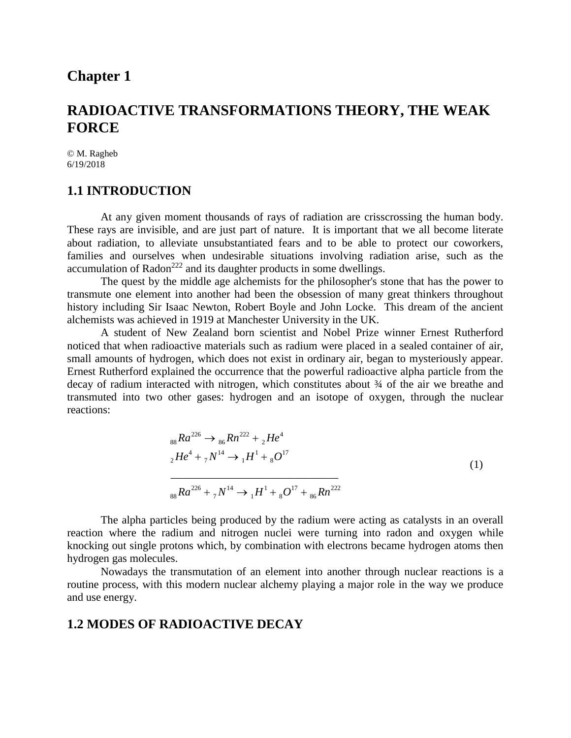## **Chapter 1**

## **RADIOACTIVE TRANSFORMATIONS THEORY, THE WEAK FORCE**

© M. Ragheb 6/19/2018

### **1.1 INTRODUCTION**

At any given moment thousands of rays of radiation are crisscrossing the human body. These rays are invisible, and are just part of nature. It is important that we all become literate about radiation, to alleviate unsubstantiated fears and to be able to protect our coworkers, families and ourselves when undesirable situations involving radiation arise, such as the accumulation of Radon<sup>222</sup> and its daughter products in some dwellings.

The quest by the middle age alchemists for the philosopher's stone that has the power to transmute one element into another had been the obsession of many great thinkers throughout history including Sir Isaac Newton, Robert Boyle and John Locke. This dream of the ancient alchemists was achieved in 1919 at Manchester University in the UK.

A student of New Zealand born scientist and Nobel Prize winner Ernest Rutherford noticed that when radioactive materials such as radium were placed in a sealed container of air, small amounts of hydrogen, which does not exist in ordinary air, began to mysteriously appear. Ernest Rutherford explained the occurrence that the powerful radioactive alpha particle from the decay of radium interacted with nitrogen, which constitutes about ¾ of the air we breathe and transmuted into two other gases: hydrogen and an isotope of oxygen, through the nuclear reactions:

$$
{}_{88}Ra^{226} \rightarrow {}_{86}Rn^{222} + {}_{2}He^{4}
$$
  
\n
$$
{}_{2}He^{4} + {}_{7}N^{14} \rightarrow {}_{1}H^{1} + {}_{8}O^{17}
$$
  
\n
$$
{}_{88}Ra^{226} + {}_{7}N^{14} \rightarrow {}_{1}H^{1} + {}_{8}O^{17} + {}_{86}Rn^{222}
$$
\n(1)

The alpha particles being produced by the radium were acting as catalysts in an overall reaction where the radium and nitrogen nuclei were turning into radon and oxygen while knocking out single protons which, by combination with electrons became hydrogen atoms then hydrogen gas molecules.

Nowadays the transmutation of an element into another through nuclear reactions is a routine process, with this modern nuclear alchemy playing a major role in the way we produce and use energy.

### **1.2 MODES OF RADIOACTIVE DECAY**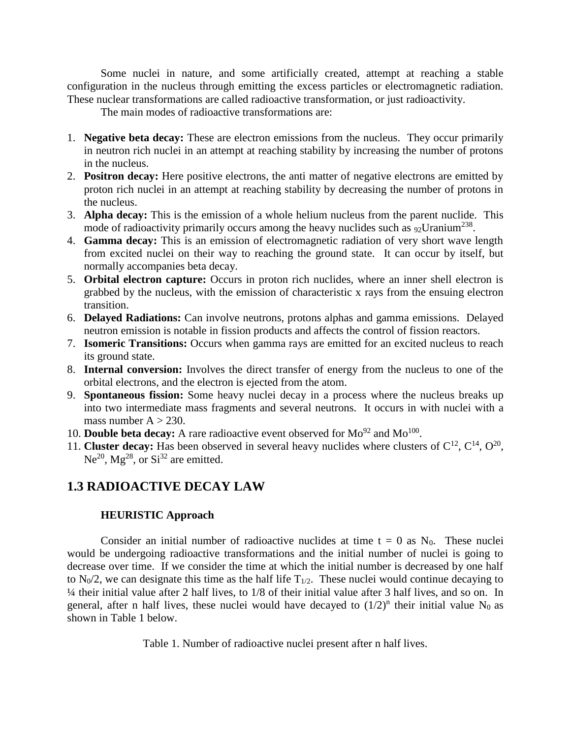Some nuclei in nature, and some artificially created, attempt at reaching a stable configuration in the nucleus through emitting the excess particles or electromagnetic radiation. These nuclear transformations are called radioactive transformation, or just radioactivity.

The main modes of radioactive transformations are:

- 1. **Negative beta decay:** These are electron emissions from the nucleus. They occur primarily in neutron rich nuclei in an attempt at reaching stability by increasing the number of protons in the nucleus.
- 2. **Positron decay:** Here positive electrons, the anti matter of negative electrons are emitted by proton rich nuclei in an attempt at reaching stability by decreasing the number of protons in the nucleus.
- 3. **Alpha decay:** This is the emission of a whole helium nucleus from the parent nuclide. This mode of radioactivity primarily occurs among the heavy nuclides such as  $92$ Uranium<sup>238</sup>.
- 4. **Gamma decay:** This is an emission of electromagnetic radiation of very short wave length from excited nuclei on their way to reaching the ground state. It can occur by itself, but normally accompanies beta decay.
- 5. **Orbital electron capture:** Occurs in proton rich nuclides, where an inner shell electron is grabbed by the nucleus, with the emission of characteristic x rays from the ensuing electron transition.
- 6. **Delayed Radiations:** Can involve neutrons, protons alphas and gamma emissions. Delayed neutron emission is notable in fission products and affects the control of fission reactors.
- 7. **Isomeric Transitions:** Occurs when gamma rays are emitted for an excited nucleus to reach its ground state.
- 8. **Internal conversion:** Involves the direct transfer of energy from the nucleus to one of the orbital electrons, and the electron is ejected from the atom.
- 9. **Spontaneous fission:** Some heavy nuclei decay in a process where the nucleus breaks up into two intermediate mass fragments and several neutrons. It occurs in with nuclei with a mass number  $A > 230$ .
- 10. **Double beta decay:** A rare radioactive event observed for  $Mo^{92}$  and  $Mo^{100}$ .
- 11. **Cluster decay:** Has been observed in several heavy nuclides where clusters of  $C^{12}$ ,  $C^{14}$ ,  $O^{20}$ ,  $Ne^{20}$ ,  $Mg^{28}$ , or  $Si^{32}$  are emitted.

## **1.3 RADIOACTIVE DECAY LAW**

### **HEURISTIC Approach**

Consider an initial number of radioactive nuclides at time  $t = 0$  as  $N_0$ . These nuclei would be undergoing radioactive transformations and the initial number of nuclei is going to decrease over time. If we consider the time at which the initial number is decreased by one half to  $N_0/2$ , we can designate this time as the half life  $T_{1/2}$ . These nuclei would continue decaying to ¼ their initial value after 2 half lives, to 1/8 of their initial value after 3 half lives, and so on. In general, after n half lives, these nuclei would have decayed to  $(1/2)^n$  their initial value N<sub>0</sub> as shown in Table 1 below.

Table 1. Number of radioactive nuclei present after n half lives.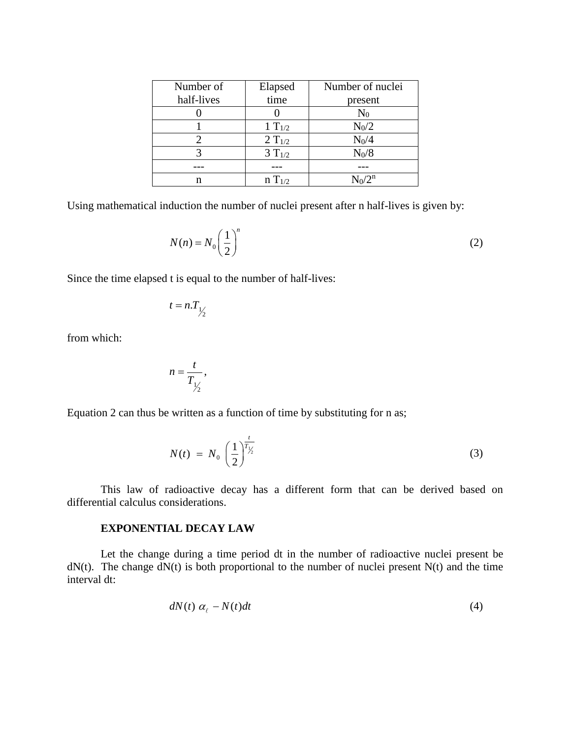| Number of  | Elapsed     | Number of nuclei |
|------------|-------------|------------------|
| half-lives | time        | present          |
|            |             | $\rm N_0$        |
|            | 1 $T_{1/2}$ | $N_0/2$          |
|            | $2 T_{1/2}$ | $N_0/4$          |
|            | $3 T_{1/2}$ | $N_0/8$          |
|            |             |                  |
|            | $n T_{1/2}$ |                  |

Using mathematical induction the number of nuclei present after n half-lives is given by:

$$
N(n) = N_0 \left(\frac{1}{2}\right)^n \tag{2}
$$

Since the time elapsed t is equal to the number of half-lives:

$$
t=n.T_{1/2}
$$

from which:

$$
n=\frac{t}{T_{1/2}},
$$

Equation 2 can thus be written as a function of time by substituting for n as;

$$
N(t) = N_0 \left(\frac{1}{2}\right)^{\frac{t}{T_{\frac{1}{2}}}}
$$
 (3)

This law of radioactive decay has a different form that can be derived based on differential calculus considerations.

#### **EXPONENTIAL DECAY LAW**

Let the change during a time period dt in the number of radioactive nuclei present be  $dN(t)$ . The change  $dN(t)$  is both proportional to the number of nuclei present  $N(t)$  and the time interval dt:

$$
dN(t) \alpha_{\ell} - N(t)dt \tag{4}
$$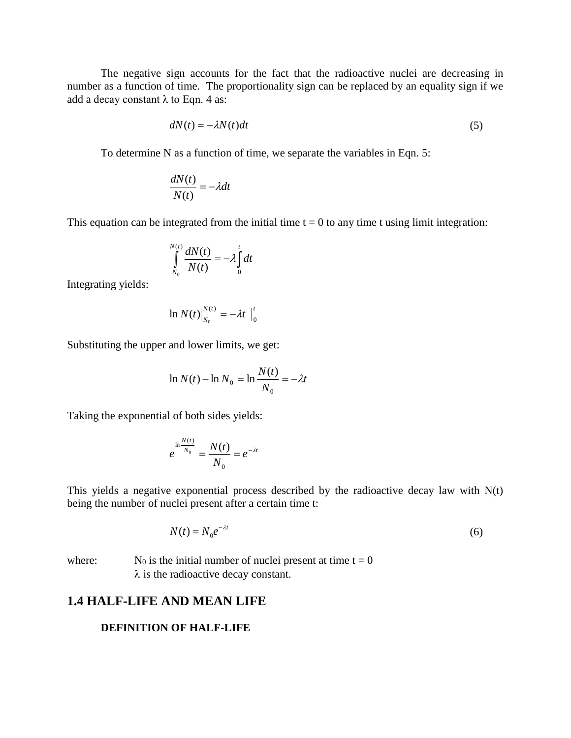The negative sign accounts for the fact that the radioactive nuclei are decreasing in number as a function of time. The proportionality sign can be replaced by an equality sign if we add a decay constant  $\lambda$  to Eqn. 4 as:

$$
dN(t) = -\lambda N(t)dt
$$
\n(5)

To determine N as a function of time, we separate the variables in Eqn. 5:

$$
\frac{dN(t)}{N(t)} = -\lambda dt
$$

This equation can be integrated from the initial time  $t = 0$  to any time t using limit integration:

$$
\int_{N_0}^{N(t)} \frac{dN(t)}{N(t)} = -\lambda \int_0^t dt
$$

Integrating yields:

$$
\ln N(t)\big|_{N_0}^{N(t)} = -\lambda t \big|_0^t
$$

Substituting the upper and lower limits, we get:

$$
\ln N(t) - \ln N_0 = \ln \frac{N(t)}{N_0} = -\lambda t
$$

Taking the exponential of both sides yields:

$$
e^{\ln \frac{N(t)}{N_0}} = \frac{N(t)}{N_0} = e^{-\lambda t}
$$

This yields a negative exponential process described by the radioactive decay law with  $N(t)$ being the number of nuclei present after a certain time t:

$$
N(t) = N_0 e^{-\lambda t} \tag{6}
$$

where:  $N_0$  is the initial number of nuclei present at time  $t = 0$  $\lambda$  is the radioactive decay constant.

### **1.4 HALF-LIFE AND MEAN LIFE**

#### **DEFINITION OF HALF-LIFE**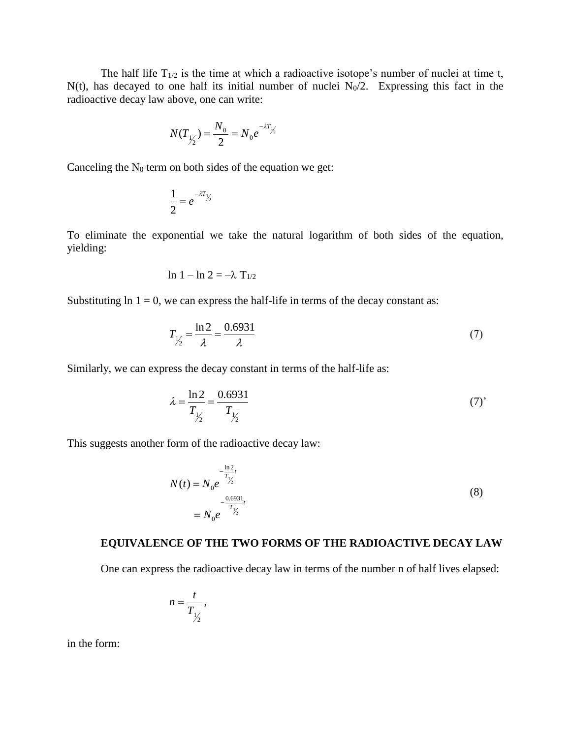The half life  $T_{1/2}$  is the time at which a radioactive isotope's number of nuclei at time t,  $N(t)$ , has decayed to one half its initial number of nuclei  $N_0/2$ . Expressing this fact in the radioactive decay law above, one can write:

$$
N(T_{\frac{1}{2}}) = \frac{N_0}{2} = N_0 e^{-\lambda T_{\frac{1}{2}}}
$$

Canceling the  $N_0$  term on both sides of the equation we get:

$$
\frac{1}{2}=e^{-\lambda T_{1/2}}
$$

To eliminate the exponential we take the natural logarithm of both sides of the equation, yielding:

$$
\ln 1 - \ln 2 = -\lambda \mathrm{T}_{1/2}
$$

Substituting  $\ln 1 = 0$ , we can express the half-life in terms of the decay constant as:

$$
T_{1/2} = \frac{\ln 2}{\lambda} = \frac{0.6931}{\lambda}
$$
 (7)

Similarly, we can express the decay constant in terms of the half-life as:

$$
\lambda = \frac{\ln 2}{T_{\frac{1}{2}}} = \frac{0.6931}{T_{\frac{1}{2}}} \tag{7'}
$$

This suggests another form of the radioactive decay law:

$$
N(t) = N_0 e^{-\frac{\ln 2}{T_{\frac{1}{2}}}} \\
= N_0 e^{-\frac{0.6931}{T_{\frac{1}{2}}}}
$$
\n(8)

## **EQUIVALENCE OF THE TWO FORMS OF THE RADIOACTIVE DECAY LAW**

One can express the radioactive decay law in terms of the number n of half lives elapsed:

$$
n=\frac{t}{T_{1/2}},
$$

in the form: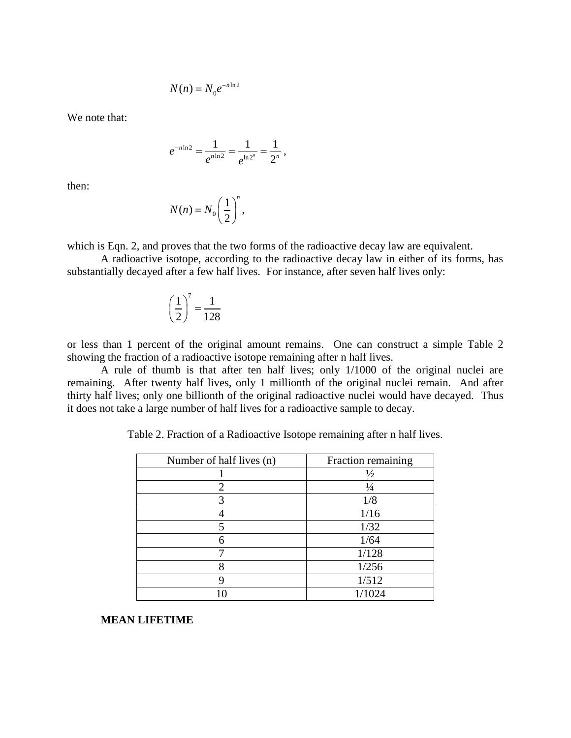$$
N(n) = N_0 e^{-n \ln 2}
$$

We note that:

$$
e^{-n\ln 2} = \frac{1}{e^{n\ln 2}} = \frac{1}{e^{\ln 2^n}} = \frac{1}{2^n},
$$

then:

$$
N(n) = N_0 \left(\frac{1}{2}\right)^n,
$$

which is Eqn. 2, and proves that the two forms of the radioactive decay law are equivalent.

A radioactive isotope, according to the radioactive decay law in either of its forms, has substantially decayed after a few half lives. For instance, after seven half lives only:

$$
\left(\frac{1}{2}\right)^7 = \frac{1}{128}
$$

or less than 1 percent of the original amount remains. One can construct a simple Table 2 showing the fraction of a radioactive isotope remaining after n half lives.

A rule of thumb is that after ten half lives; only 1/1000 of the original nuclei are remaining. After twenty half lives, only 1 millionth of the original nuclei remain. And after thirty half lives; only one billionth of the original radioactive nuclei would have decayed. Thus it does not take a large number of half lives for a radioactive sample to decay.

| Number of half lives (n) | Fraction remaining |  |
|--------------------------|--------------------|--|
|                          | $\frac{1}{2}$      |  |
| 2                        | $\frac{1}{4}$      |  |
|                          | 1/8                |  |
|                          | 1/16               |  |
|                          | 1/32               |  |
| 6                        | 1/64               |  |
|                          | 1/128              |  |
| 8                        | 1/256              |  |
|                          | 1/512              |  |
|                          | 1/1024             |  |

Table 2. Fraction of a Radioactive Isotope remaining after n half lives.

### **MEAN LIFETIME**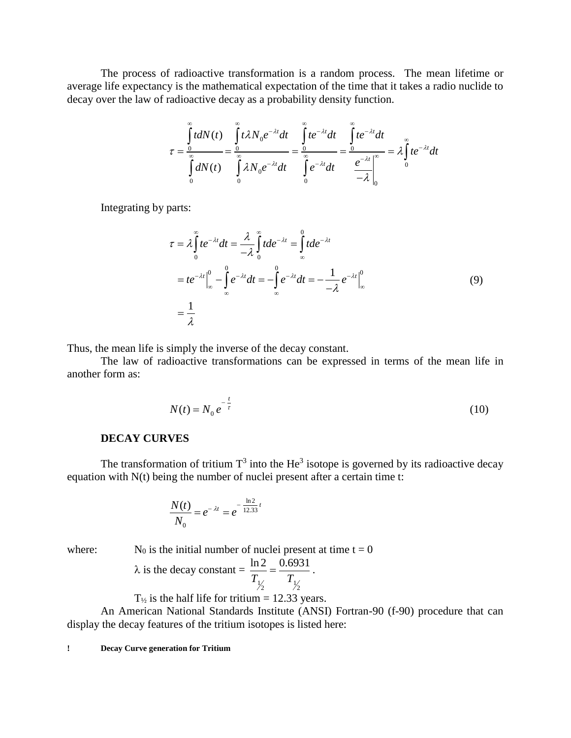The process of radioactive transformation is a random process. The mean lifetime or average life expectancy is the mathematical expectation of the time that it takes a radio nuclide to decay over the law of radioactive decay as a probability density function.

$$
\tau = \frac{\int_{0}^{\infty} t dN(t)}{\int_{0}^{\infty} dN(t)} = \frac{\int_{0}^{\infty} t \lambda N_0 e^{-\lambda t} dt}{\int_{0}^{\infty} e^{-\lambda t} dt} = \frac{\int_{0}^{\infty} t e^{-\lambda t} dt}{\int_{0}^{\infty} e^{-\lambda t} dt} = \frac{\int_{0}^{\infty} t e^{-\lambda t} dt}{\int_{0}^{\infty} e^{-\lambda t} dt} = \frac{\int_{0}^{\infty} t e^{-\lambda t} dt}{\int_{0}^{\infty} e^{-\lambda t} dt} = \frac{\int_{0}^{\infty} t e^{-\lambda t} dt}{\int_{0}^{\infty} e^{-\lambda t} dt}
$$

Integrating by parts:

$$
\tau = \lambda \int_{0}^{\infty} t e^{-\lambda t} dt = \frac{\lambda}{-\lambda} \int_{0}^{\infty} t de^{-\lambda t} = \int_{\infty}^{0} t de^{-\lambda t}
$$

$$
= t e^{-\lambda t} \Big|_{\infty}^{0} - \int_{\infty}^{0} e^{-\lambda t} dt = - \int_{\infty}^{0} e^{-\lambda t} dt = -\frac{1}{-\lambda} e^{-\lambda t} \Big|_{\infty}^{0}
$$
(9)
$$
= \frac{1}{\lambda}
$$

Thus, the mean life is simply the inverse of the decay constant.

The law of radioactive transformations can be expressed in terms of the mean life in another form as:

$$
N(t) = N_0 e^{-\frac{t}{\tau}}
$$
 (10)

#### **DECAY CURVES**

The transformation of tritium  $T^3$  into the He<sup>3</sup> isotope is governed by its radioactive decay equation with N(t) being the number of nuclei present after a certain time t:

$$
\frac{N(t)}{N_0} = e^{-\lambda t} = e^{-\frac{\ln 2}{12.33}t}
$$

where: 
$$
N_0
$$
 is the initial number of nuclei present at time  $t = 0$ 

$$
\lambda
$$
 is the decay constant  $=\frac{\ln 2}{T_{1/2}} = \frac{0.6931}{T_{1/2}}$ .

$$
T_{\frac{1}{2}}
$$
 is the half life for tritium = 12.33 years.

An American National Standards Institute (ANSI) Fortran-90 (f-90) procedure that can display the decay features of the tritium isotopes is listed here:

**! Decay Curve generation for Tritium**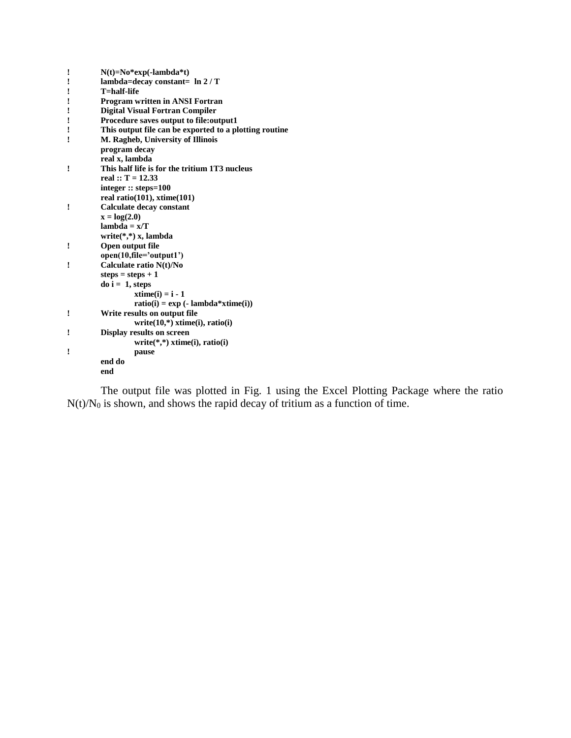| ı | $N(t)=No*exp(-lambda*t)$                               |
|---|--------------------------------------------------------|
| ľ | lambda=decay constant= $\ln 2/T$                       |
| ı | T=half-life                                            |
| I | <b>Program written in ANSI Fortran</b>                 |
| ! | <b>Digital Visual Fortran Compiler</b>                 |
| ! | Procedure saves output to file: output1                |
| ı | This output file can be exported to a plotting routine |
| ı | M. Ragheb, University of Illinois                      |
|   | program decay                                          |
|   | real x, lambda                                         |
| ı | This half life is for the tritium 1T3 nucleus          |
|   | real :: $T = 12.33$                                    |
|   | integer $::$ steps=100                                 |
|   | real ratio(101), xtime(101)                            |
| Î | <b>Calculate decay constant</b>                        |
|   | $x = log(2.0)$                                         |
|   | $lambda = x/T$                                         |
|   | write $(*,*)$ x, lambda                                |
| ! | Open output file                                       |
|   | $open(10, file='output1')$                             |
| ı | Calculate ratio N(t)/No                                |
|   | steps = $steps + 1$                                    |
|   | $\bf{d}$ o i = 1, steps                                |
|   | $xtime(i) = i - 1$                                     |
|   | $ratio(i) = exp(-lambda*xtime(i))$                     |
| ! | Write results on output file                           |
|   | write $(10,*)$ xtime $(i)$ , ratio $(i)$               |
| I | <b>Display results on screen</b>                       |
|   | write $(*,*)$ xtime(i), ratio(i)                       |
| ı | pause                                                  |
|   | end do                                                 |
|   | end                                                    |

The output file was plotted in Fig. 1 using the Excel Plotting Package where the ratio  $N(t)/N_0$  is shown, and shows the rapid decay of tritium as a function of time.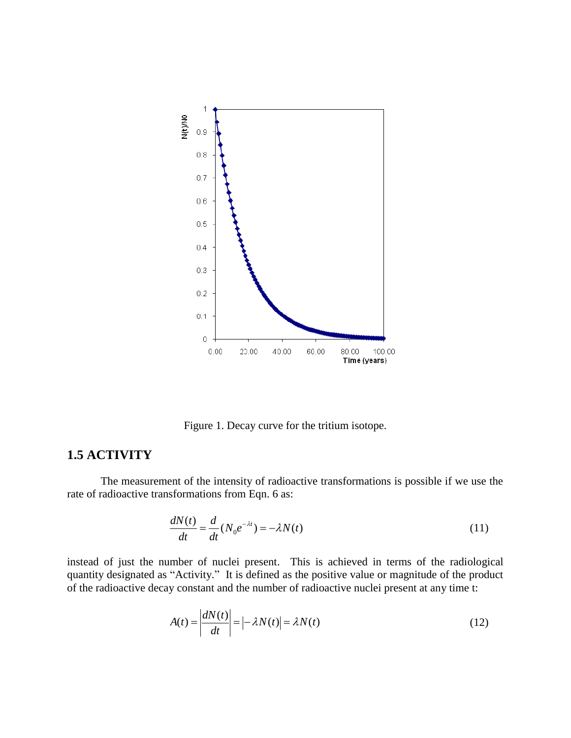

Figure 1. Decay curve for the tritium isotope.

## **1.5 ACTIVITY**

The measurement of the intensity of radioactive transformations is possible if we use the rate of radioactive transformations from Eqn. 6 as:

$$
\frac{dN(t)}{dt} = \frac{d}{dt}(N_0 e^{-\lambda t}) = -\lambda N(t)
$$
\n(11)

instead of just the number of nuclei present. This is achieved in terms of the radiological quantity designated as "Activity." It is defined as the positive value or magnitude of the product of the radioactive decay constant and the number of radioactive nuclei present at any time t:

$$
A(t) = \left| \frac{dN(t)}{dt} \right| = \left| -\lambda N(t) \right| = \lambda N(t)
$$
\n(12)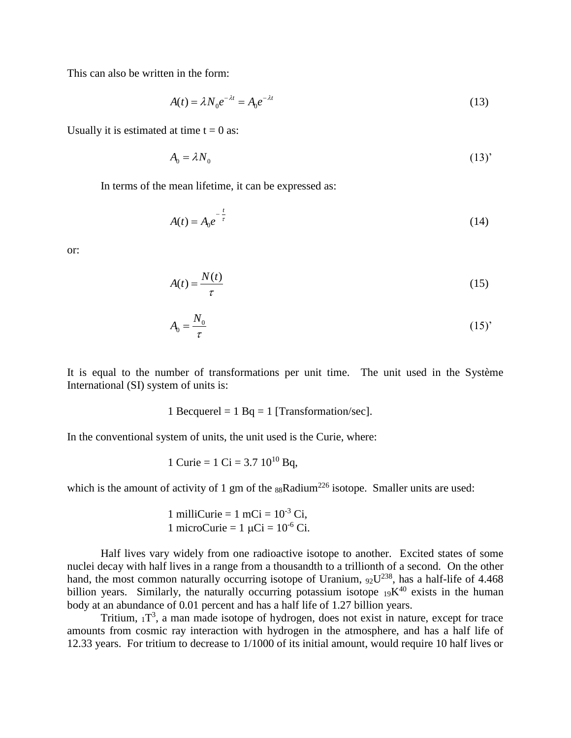This can also be written in the form:

$$
A(t) = \lambda N_0 e^{-\lambda t} = A_0 e^{-\lambda t}
$$
\n(13)

Usually it is estimated at time  $t = 0$  as:

$$
A_0 = \lambda N_0 \tag{13'}
$$

In terms of the mean lifetime, it can be expressed as:

$$
A(t) = A_0 e^{-\frac{t}{\tau}}
$$
 (14)

or:

$$
A(t) = \frac{N(t)}{\tau} \tag{15}
$$

$$
A_0 = \frac{N_0}{\tau} \tag{15'}
$$

It is equal to the number of transformations per unit time. The unit used in the Système International (SI) system of units is:

1 Becquerel = 1 Bq = 1 [Transformation/sec].

In the conventional system of units, the unit used is the Curie, where:

1 Curie = 
$$
1 \text{ Ci} = 3.7 \, 10^{10} \text{Bg}
$$
,

which is the amount of activity of 1 gm of the  $88$ Radium<sup>226</sup> isotope. Smaller units are used:

1 milliCurie = 
$$
1 \text{ mCi} = 10^{-3} \text{ Ci}
$$
,  
1 microCurie =  $1 \mu\text{Ci} = 10^{-6} \text{Ci}$ .

Half lives vary widely from one radioactive isotope to another. Excited states of some nuclei decay with half lives in a range from a thousandth to a trillionth of a second. On the other hand, the most common naturally occurring isotope of Uranium,  $92^{1238}$ , has a half-life of 4.468 billion years. Similarly, the naturally occurring potassium isotope  $19K^{40}$  exists in the human body at an abundance of 0.01 percent and has a half life of 1.27 billion years.

Tritium,  $1T<sup>3</sup>$ , a man made isotope of hydrogen, does not exist in nature, except for trace amounts from cosmic ray interaction with hydrogen in the atmosphere, and has a half life of 12.33 years. For tritium to decrease to 1/1000 of its initial amount, would require 10 half lives or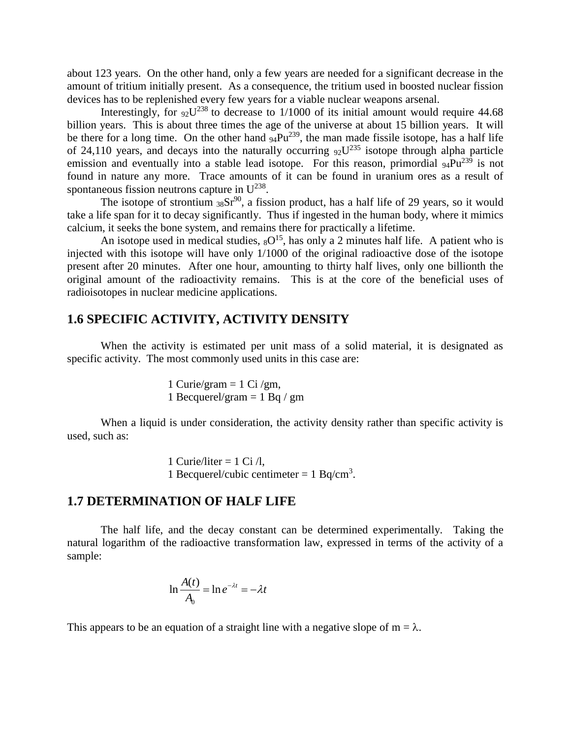about 123 years. On the other hand, only a few years are needed for a significant decrease in the amount of tritium initially present. As a consequence, the tritium used in boosted nuclear fission devices has to be replenished every few years for a viable nuclear weapons arsenal.

Interestingly, for  $92U^{238}$  to decrease to 1/1000 of its initial amount would require 44.68 billion years. This is about three times the age of the universe at about 15 billion years. It will be there for a long time. On the other hand  $94Pu^{239}$ , the man made fissile isotope, has a half life of 24,110 years, and decays into the naturally occurring  $92U^{235}$  isotope through alpha particle emission and eventually into a stable lead isotope. For this reason, primordial  $94\text{Pu}^{239}$  is not found in nature any more. Trace amounts of it can be found in uranium ores as a result of spontaneous fission neutrons capture in  $U^{238}$ .

The isotope of strontium  $38Sr^{90}$ , a fission product, has a half life of 29 years, so it would take a life span for it to decay significantly. Thus if ingested in the human body, where it mimics calcium, it seeks the bone system, and remains there for practically a lifetime.

An isotope used in medical studies,  $8O^{15}$ , has only a 2 minutes half life. A patient who is injected with this isotope will have only 1/1000 of the original radioactive dose of the isotope present after 20 minutes. After one hour, amounting to thirty half lives, only one billionth the original amount of the radioactivity remains. This is at the core of the beneficial uses of radioisotopes in nuclear medicine applications.

## **1.6 SPECIFIC ACTIVITY, ACTIVITY DENSITY**

When the activity is estimated per unit mass of a solid material, it is designated as specific activity. The most commonly used units in this case are:

> 1 Curie/gram  $= 1$  Ci/gm, 1 Becquerel/gram  $= 1$  Bq / gm

When a liquid is under consideration, the activity density rather than specific activity is used, such as:

> 1 Curie/liter = 1 Ci  $/l$ , 1 Becquerel/cubic centimeter =  $1$  Bq/cm<sup>3</sup>.

#### **1.7 DETERMINATION OF HALF LIFE**

The half life, and the decay constant can be determined experimentally. Taking the natural logarithm of the radioactive transformation law, expressed in terms of the activity of a sample:

$$
\ln \frac{A(t)}{A_0} = \ln e^{-\lambda t} = -\lambda t
$$

This appears to be an equation of a straight line with a negative slope of  $m = \lambda$ .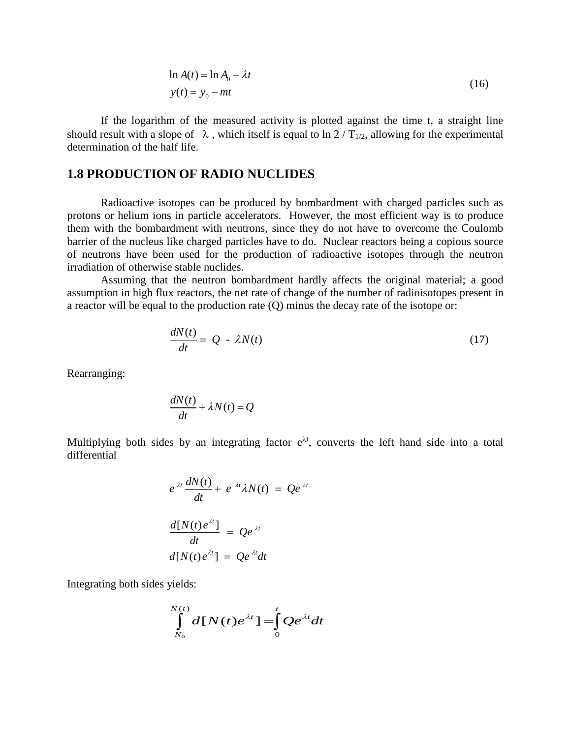$$
\ln A(t) = \ln A_0 - \lambda t
$$
  

$$
y(t) = y_0 - mt
$$
 (16)

If the logarithm of the measured activity is plotted against the time t, a straight line should result with a slope of  $-\lambda$ , which itself is equal to ln 2/T<sub>1/2</sub>, allowing for the experimental determination of the half life.

### **1.8 PRODUCTION OF RADIO NUCLIDES**

Radioactive isotopes can be produced by bombardment with charged particles such as protons or helium ions in particle accelerators. However, the most efficient way is to produce them with the bombardment with neutrons, since they do not have to overcome the Coulomb barrier of the nucleus like charged particles have to do. Nuclear reactors being a copious source of neutrons have been used for the production of radioactive isotopes through the neutron irradiation of otherwise stable nuclides.

Assuming that the neutron bombardment hardly affects the original material; a good assumption in high flux reactors, the net rate of change of the number of radioisotopes present in a reactor will be equal to the production rate (Q) minus the decay rate of the isotope or:

$$
\frac{dN(t)}{dt} = Q - \lambda N(t) \tag{17}
$$

Rearranging:

$$
\frac{dN(t)}{dt} + \lambda N(t) = Q
$$

Multiplying both sides by an integrating factor  $e^{\lambda t}$ , converts the left hand side into a total differential

$$
e^{\lambda t} \frac{dN(t)}{dt} + e^{\lambda t} \lambda N(t) = Qe^{\lambda t}
$$

$$
\frac{d[N(t)e^{\lambda t}]}{dt} = Qe^{\lambda t}
$$

$$
d[N(t)e^{\lambda t}] = Qe^{\lambda t}dt
$$

Integrating both sides yields:

$$
\int\limits_{N_0}^{N(t)}d[N(t)e^{\lambda t}]=\int\limits_0^t Qe^{\lambda t}dt
$$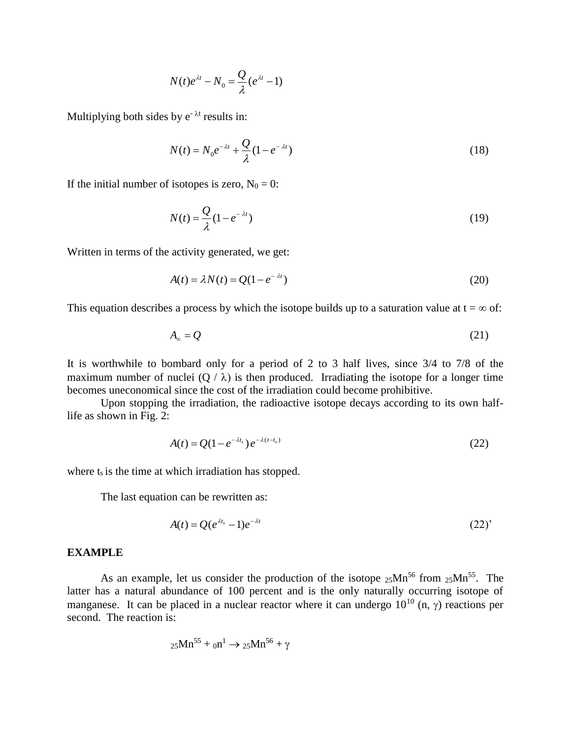$$
N(t)e^{\lambda t}-N_0=\frac{Q}{\lambda}(e^{\lambda t}-1)
$$

Multiplying both sides by  $e^{-\lambda t}$  results in:

$$
N(t) = N_0 e^{-\lambda t} + \frac{Q}{\lambda} (1 - e^{-\lambda t})
$$
\n(18)

If the initial number of isotopes is zero,  $N_0 = 0$ :

$$
N(t) = \frac{Q}{\lambda} (1 - e^{-\lambda t})
$$
\n(19)

Written in terms of the activity generated, we get:

$$
A(t) = \lambda N(t) = Q(1 - e^{-\lambda t})
$$
\n(20)

This equation describes a process by which the isotope builds up to a saturation value at  $t = \infty$  of:

$$
A_{\infty} = Q \tag{21}
$$

It is worthwhile to bombard only for a period of 2 to 3 half lives, since 3/4 to 7/8 of the maximum number of nuclei  $(Q / \lambda)$  is then produced. Irradiating the isotope for a longer time becomes uneconomical since the cost of the irradiation could become prohibitive.

Upon stopping the irradiation, the radioactive isotope decays according to its own halflife as shown in Fig. 2:

$$
A(t) = Q(1 - e^{-\lambda t_s}) e^{-\lambda (t - t_s)}
$$
\n(22)

where  $t_s$  is the time at which irradiation has stopped.

The last equation can be rewritten as:

$$
A(t) = Q(e^{\lambda t_s} - 1)e^{-\lambda t}
$$
 (22)

#### **EXAMPLE**

As an example, let us consider the production of the isotope  $_{25}Mn^{56}$  from  $_{25}Mn^{55}$ . The latter has a natural abundance of 100 percent and is the only naturally occurring isotope of manganese. It can be placed in a nuclear reactor where it can undergo  $10^{10}$  (n,  $\gamma$ ) reactions per second. The reaction is:

$$
_{25}Mn^{55}+\t_{0}n^{1}\rightarrow \t_{25}Mn^{56}+\gamma
$$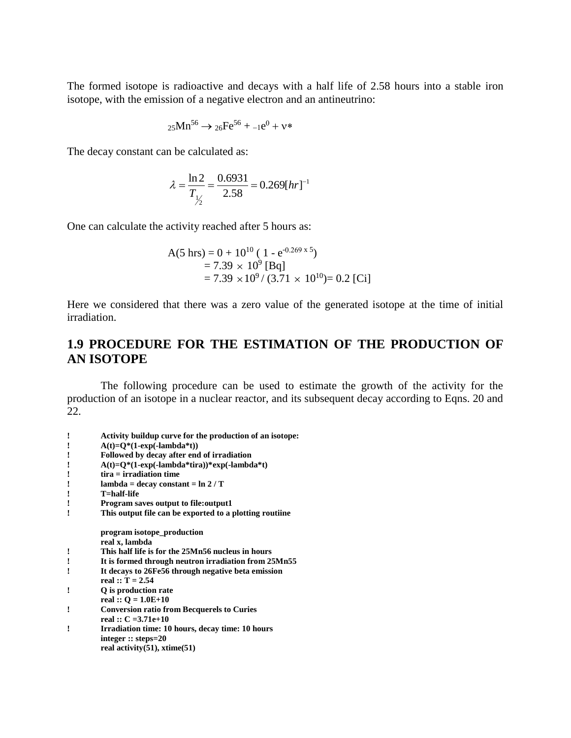The formed isotope is radioactive and decays with a half life of 2.58 hours into a stable iron isotope, with the emission of a negative electron and an antineutrino:

$$
25Mn^{56} \to 26Fe^{56} + -1e^{0} + v^{*}
$$

The decay constant can be calculated as:

$$
\lambda = \frac{\ln 2}{T_{\frac{1}{2}}} = \frac{0.6931}{2.58} = 0.269 [hr]^{-1}
$$

One can calculate the activity reached after 5 hours as:

A(5 hrs) = 0 + 10<sup>10</sup> ( 1 - e -x 5) = 7.39 10<sup>9</sup> [Bq] = 7.39 10<sup>9</sup>/ (3.71 10<sup>10</sup>)= 0.2 [Ci]

Here we considered that there was a zero value of the generated isotope at the time of initial irradiation.

## **1.9 PROCEDURE FOR THE ESTIMATION OF THE PRODUCTION OF AN ISOTOPE**

The following procedure can be used to estimate the growth of the activity for the production of an isotope in a nuclear reactor, and its subsequent decay according to Eqns. 20 and 22.

| Activity buildup curve for the production of an isotope:<br>$A(t)=Q^*(1-exp(-lambda^*t))$<br>Followed by decay after end of irradiation<br>$A(t)=Q^*(1-exp(-lambda*tri))*exp(-lambda*ti)$<br>$tira = irradiation time$<br>$lambda = decay constant = ln 2/T$<br>T=half-life<br><b>Program saves output to file: output1</b><br>This output file can be exported to a plotting routine<br>program isotope_production<br>real x, lambda<br>This half life is for the 25Mn56 nucleus in hours<br>It is formed through neutron irradiation from 25Mn55<br>It decays to 26Fe56 through negative beta emission<br>real :: $T = 2.54$<br>Q is production rate<br>I |                       |
|-------------------------------------------------------------------------------------------------------------------------------------------------------------------------------------------------------------------------------------------------------------------------------------------------------------------------------------------------------------------------------------------------------------------------------------------------------------------------------------------------------------------------------------------------------------------------------------------------------------------------------------------------------------|-----------------------|
|                                                                                                                                                                                                                                                                                                                                                                                                                                                                                                                                                                                                                                                             |                       |
|                                                                                                                                                                                                                                                                                                                                                                                                                                                                                                                                                                                                                                                             |                       |
|                                                                                                                                                                                                                                                                                                                                                                                                                                                                                                                                                                                                                                                             |                       |
|                                                                                                                                                                                                                                                                                                                                                                                                                                                                                                                                                                                                                                                             |                       |
|                                                                                                                                                                                                                                                                                                                                                                                                                                                                                                                                                                                                                                                             |                       |
|                                                                                                                                                                                                                                                                                                                                                                                                                                                                                                                                                                                                                                                             |                       |
|                                                                                                                                                                                                                                                                                                                                                                                                                                                                                                                                                                                                                                                             |                       |
|                                                                                                                                                                                                                                                                                                                                                                                                                                                                                                                                                                                                                                                             |                       |
|                                                                                                                                                                                                                                                                                                                                                                                                                                                                                                                                                                                                                                                             |                       |
|                                                                                                                                                                                                                                                                                                                                                                                                                                                                                                                                                                                                                                                             |                       |
|                                                                                                                                                                                                                                                                                                                                                                                                                                                                                                                                                                                                                                                             |                       |
|                                                                                                                                                                                                                                                                                                                                                                                                                                                                                                                                                                                                                                                             |                       |
|                                                                                                                                                                                                                                                                                                                                                                                                                                                                                                                                                                                                                                                             |                       |
|                                                                                                                                                                                                                                                                                                                                                                                                                                                                                                                                                                                                                                                             |                       |
|                                                                                                                                                                                                                                                                                                                                                                                                                                                                                                                                                                                                                                                             |                       |
|                                                                                                                                                                                                                                                                                                                                                                                                                                                                                                                                                                                                                                                             |                       |
|                                                                                                                                                                                                                                                                                                                                                                                                                                                                                                                                                                                                                                                             |                       |
|                                                                                                                                                                                                                                                                                                                                                                                                                                                                                                                                                                                                                                                             | real :: $Q = 1.0E+10$ |
| <b>Conversion ratio from Becquerels to Curies</b><br>ı                                                                                                                                                                                                                                                                                                                                                                                                                                                                                                                                                                                                      |                       |
| real :: $C = 3.71e+10$                                                                                                                                                                                                                                                                                                                                                                                                                                                                                                                                                                                                                                      |                       |
| Irradiation time: 10 hours, decay time: 10 hours                                                                                                                                                                                                                                                                                                                                                                                                                                                                                                                                                                                                            |                       |
| integer $::$ steps=20                                                                                                                                                                                                                                                                                                                                                                                                                                                                                                                                                                                                                                       |                       |
| real activity $(51)$ , xtime $(51)$                                                                                                                                                                                                                                                                                                                                                                                                                                                                                                                                                                                                                         |                       |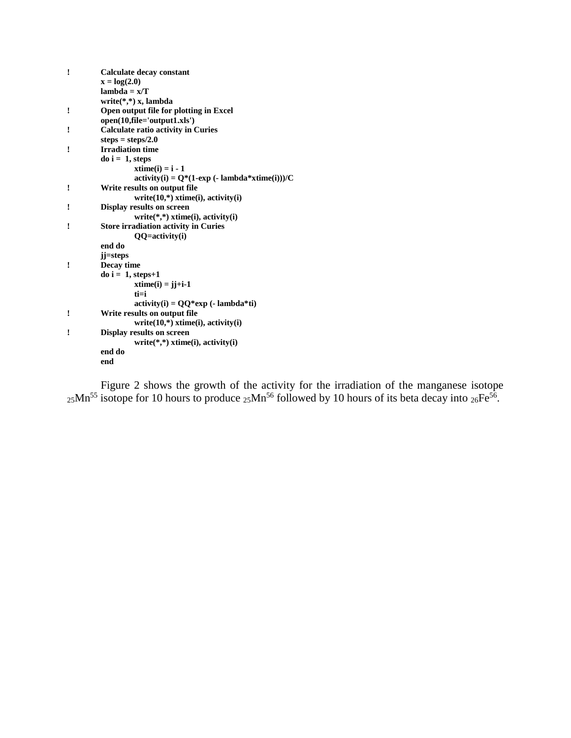| Ţ | <b>Calculate decay constant</b>               |
|---|-----------------------------------------------|
|   | $x = log(2.0)$                                |
|   | $lambda = x/T$                                |
|   | write $(*,*)$ x, lambda                       |
| ! | Open output file for plotting in Excel        |
|   | open(10,file='output1.xls')                   |
| ı | <b>Calculate ratio activity in Curies</b>     |
|   | steps = $steps/2.0$                           |
| ! | <b>Irradiation time</b>                       |
|   | $\bf{d}$ o i = 1, steps                       |
|   | $xtime(i) = i - 1$                            |
|   | $activity(i) = Q*(1-exp(-lambda*xtime(i)))/C$ |
| ı | Write results on output file                  |
|   | $write(10,*)$ xtime(i), activity(i)           |
| ! | <b>Display results on screen</b>              |
|   | $write(*,*)$ xtime(i), activity(i)            |
| I | <b>Store irradiation activity in Curies</b>   |
|   | QQ=activity(i)                                |
|   | end do                                        |
|   | jj=steps                                      |
| ! | Decay time                                    |
|   | $do$ i = 1, steps+1                           |
|   | $xtime(i) = jj+i-1$                           |
|   | $t = i$                                       |
|   | $activity(i) = QQ*exp(-lambda*ti)$            |
| ı | Write results on output file                  |
|   | $write(10,*)$ xtime(i), activity(i)           |
| I | <b>Display results on screen</b>              |
|   | $write(*,*)$ xtime(i), activity(i)            |
|   | end do                                        |
|   | end                                           |

Figure 2 shows the growth of the activity for the irradiation of the manganese isotope  $_{25}$ Mn<sup>55</sup> isotope for 10 hours to produce  $_{25}$ Mn<sup>56</sup> followed by 10 hours of its beta decay into  $_{26}Fe^{56}$ .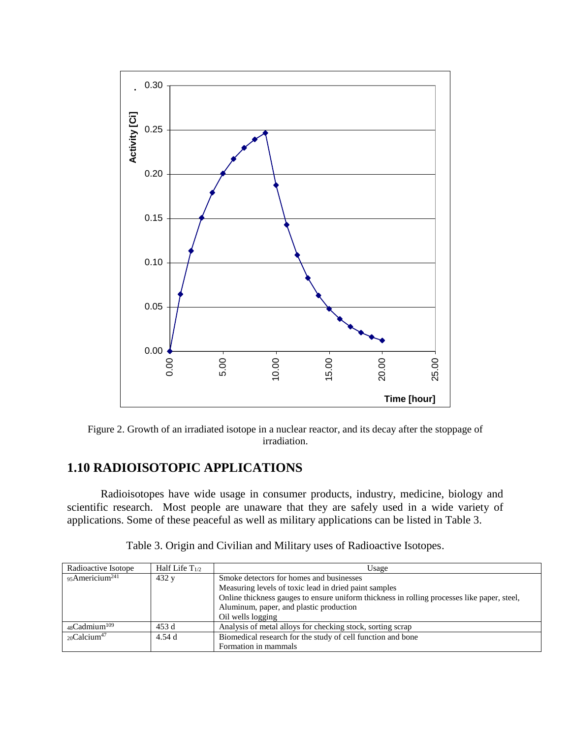

Figure 2. Growth of an irradiated isotope in a nuclear reactor, and its decay after the stoppage of irradiation.

## **1.10 RADIOISOTOPIC APPLICATIONS**

Radioisotopes have wide usage in consumer products, industry, medicine, biology and scientific research. Most people are unaware that they are safely used in a wide variety of applications. Some of these peaceful as well as military applications can be listed in Table 3.

| Radioactive Isotope         | Half Life $T_{1/2}$ | Usage                                                                                       |  |  |
|-----------------------------|---------------------|---------------------------------------------------------------------------------------------|--|--|
| 95Americium <sup>241</sup>  | 432 y               | Smoke detectors for homes and businesses                                                    |  |  |
|                             |                     | Measuring levels of toxic lead in dried paint samples                                       |  |  |
|                             |                     | Online thickness gauges to ensure uniform thickness in rolling processes like paper, steel, |  |  |
|                             |                     | Aluminum, paper, and plastic production                                                     |  |  |
|                             |                     | Oil wells logging                                                                           |  |  |
| $48$ Cadmium <sup>109</sup> | 453 d               | Analysis of metal alloys for checking stock, sorting scrap                                  |  |  |
| $20$ Calcium <sup>47</sup>  | 4.54 d              | Biomedical research for the study of cell function and bone                                 |  |  |
|                             |                     | Formation in mammals                                                                        |  |  |

Table 3. Origin and Civilian and Military uses of Radioactive Isotopes.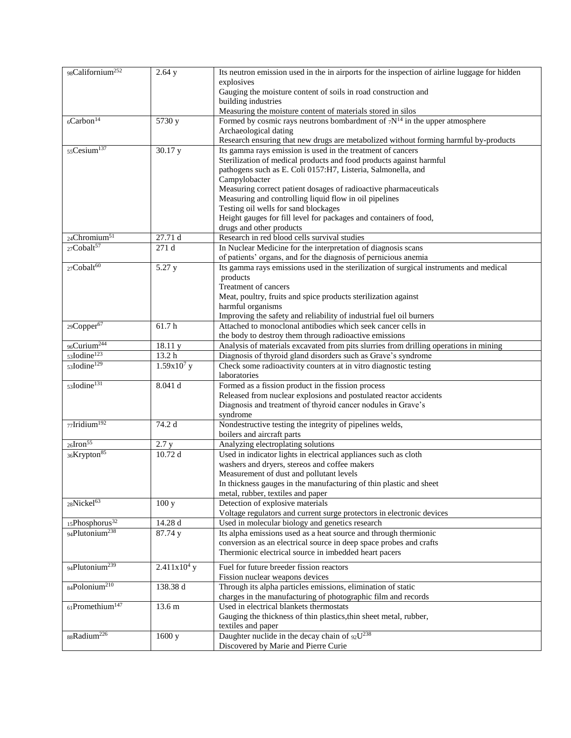| 98Californium <sup>252</sup>   | 2.64y                                                                                                                             | Its neutron emission used in the in airports for the inspection of airline luggage for hidden  |  |
|--------------------------------|-----------------------------------------------------------------------------------------------------------------------------------|------------------------------------------------------------------------------------------------|--|
|                                |                                                                                                                                   | explosives                                                                                     |  |
|                                |                                                                                                                                   | Gauging the moisture content of soils in road construction and                                 |  |
|                                |                                                                                                                                   | building industries                                                                            |  |
|                                |                                                                                                                                   | Measuring the moisture content of materials stored in silos                                    |  |
| $6$ Carbon <sup>14</sup>       | $\overline{5730}$ y                                                                                                               | Formed by cosmic rays neutrons bombardment of $7N^{14}$ in the upper atmosphere                |  |
|                                |                                                                                                                                   | Archaeological dating                                                                          |  |
|                                |                                                                                                                                   | Research ensuring that new drugs are metabolized without forming harmful by-products           |  |
| $55C$ esium <sup>137</sup>     | 30.17 y                                                                                                                           | Its gamma rays emission is used in the treatment of cancers                                    |  |
|                                |                                                                                                                                   | Sterilization of medical products and food products against harmful                            |  |
|                                |                                                                                                                                   | pathogens such as E. Coli 0157:H7, Listeria, Salmonella, and                                   |  |
|                                |                                                                                                                                   | Campylobacter                                                                                  |  |
|                                |                                                                                                                                   | Measuring correct patient dosages of radioactive pharmaceuticals                               |  |
|                                |                                                                                                                                   | Measuring and controlling liquid flow in oil pipelines<br>Testing oil wells for sand blockages |  |
|                                |                                                                                                                                   | Height gauges for fill level for packages and containers of food,                              |  |
|                                |                                                                                                                                   | drugs and other products                                                                       |  |
| 24Chromium <sup>51</sup>       | 27.71 d                                                                                                                           | Research in red blood cells survival studies                                                   |  |
| $27$ Cobalt <sup>57</sup>      | 271 d                                                                                                                             | In Nuclear Medicine for the interpretation of diagnosis scans                                  |  |
|                                |                                                                                                                                   | of patients' organs, and for the diagnosis of pernicious anemia                                |  |
| $27 \text{Cobal}t^{60}$        | 5.27 y                                                                                                                            | Its gamma rays emissions used in the sterilization of surgical instruments and medical         |  |
|                                |                                                                                                                                   | products                                                                                       |  |
|                                |                                                                                                                                   | Treatment of cancers                                                                           |  |
|                                |                                                                                                                                   | Meat, poultry, fruits and spice products sterilization against                                 |  |
|                                |                                                                                                                                   | harmful organisms                                                                              |  |
|                                |                                                                                                                                   | Improving the safety and reliability of industrial fuel oil burners                            |  |
| 29Copper <sup>67</sup>         | 61.7h                                                                                                                             | Attached to monoclonal antibodies which seek cancer cells in                                   |  |
|                                |                                                                                                                                   | the body to destroy them through radioactive emissions                                         |  |
| 96Curium <sup>244</sup>        | 18.11 y                                                                                                                           | Analysis of materials excavated from pits slurries from drilling operations in mining          |  |
| 53Iodine <sup>123</sup>        | 13.2 h                                                                                                                            | Diagnosis of thyroid gland disorders such as Grave's syndrome                                  |  |
| 53Iodine <sup>129</sup>        | $1.59x10^7$ y                                                                                                                     | Check some radioactivity counters at in vitro diagnostic testing                               |  |
|                                |                                                                                                                                   | laboratories                                                                                   |  |
| 53Iodine <sup>131</sup>        | 8.041 d                                                                                                                           | Formed as a fission product in the fission process                                             |  |
|                                | Released from nuclear explosions and postulated reactor accidents<br>Diagnosis and treatment of thyroid cancer nodules in Grave's |                                                                                                |  |
|                                |                                                                                                                                   | syndrome                                                                                       |  |
| $77$ Iridium <sup>192</sup>    | 74.2 d                                                                                                                            | Nondestructive testing the integrity of pipelines welds,                                       |  |
|                                |                                                                                                                                   | boilers and aircraft parts                                                                     |  |
| $26$ Iron $55$                 | 2.7 y                                                                                                                             | Analyzing electroplating solutions                                                             |  |
| 36Krypton <sup>85</sup>        | 10.72d                                                                                                                            | Used in indicator lights in electrical appliances such as cloth                                |  |
|                                |                                                                                                                                   | washers and dryers, stereos and coffee makers                                                  |  |
|                                |                                                                                                                                   | Measurement of dust and pollutant levels                                                       |  |
|                                |                                                                                                                                   | In thickness gauges in the manufacturing of thin plastic and sheet                             |  |
|                                |                                                                                                                                   | metal, rubber, textiles and paper                                                              |  |
| 28Nickel <sup>63</sup>         | 100y                                                                                                                              | Detection of explosive materials                                                               |  |
|                                |                                                                                                                                   | Voltage regulators and current surge protectors in electronic devices                          |  |
| 15Phosphorus <sup>32</sup>     | 14.28 d                                                                                                                           | Used in molecular biology and genetics research                                                |  |
| 94Plutonium <sup>238</sup>     | 87.74 y                                                                                                                           | Its alpha emissions used as a heat source and through thermionic                               |  |
|                                |                                                                                                                                   | conversion as an electrical source in deep space probes and crafts                             |  |
|                                |                                                                                                                                   | Thermionic electrical source in imbedded heart pacers                                          |  |
| 94Plutonium <sup>239</sup>     | $2.411x104$ y                                                                                                                     | Fuel for future breeder fission reactors                                                       |  |
|                                |                                                                                                                                   | Fission nuclear weapons devices                                                                |  |
| 84Polonium <sup>210</sup>      | 138.38 d                                                                                                                          | Through its alpha particles emissions, elimination of static                                   |  |
|                                |                                                                                                                                   | charges in the manufacturing of photographic film and records                                  |  |
| $61$ Promethium <sup>147</sup> | 13.6 m                                                                                                                            | Used in electrical blankets thermostats                                                        |  |
|                                |                                                                                                                                   | Gauging the thickness of thin plastics, thin sheet metal, rubber,                              |  |
|                                |                                                                                                                                   | textiles and paper                                                                             |  |
| 88Radium <sup>226</sup>        | 1600 y                                                                                                                            | Daughter nuclide in the decay chain of $92U^{238}$                                             |  |
|                                |                                                                                                                                   | Discovered by Marie and Pierre Curie                                                           |  |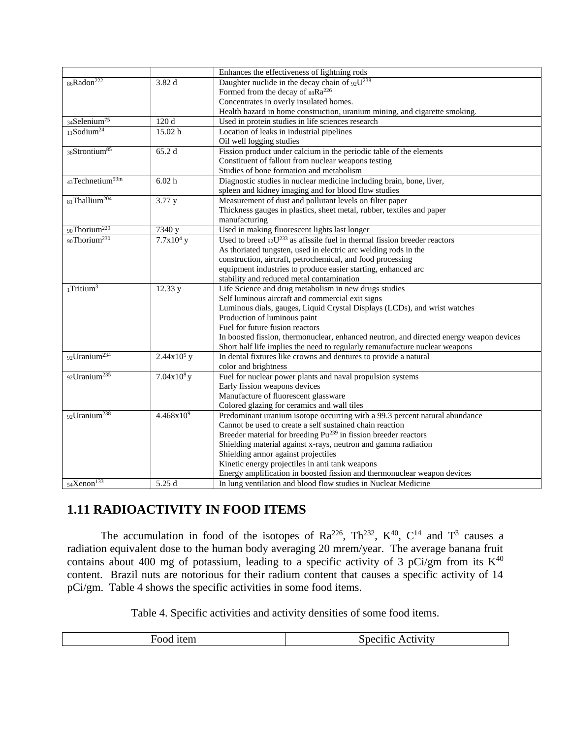|                             |                | Enhances the effectiveness of lightning rods                                             |
|-----------------------------|----------------|------------------------------------------------------------------------------------------|
| 86Radon <sup>222</sup>      | 3.82 d         | Daughter nuclide in the decay chain of $92U^{238}$                                       |
|                             |                | Formed from the decay of $88Ra^{226}$                                                    |
|                             |                | Concentrates in overly insulated homes.                                                  |
|                             |                | Health hazard in home construction, uranium mining, and cigarette smoking.               |
| 34Selenium <sup>75</sup>    | 120 d          | Used in protein studies in life sciences research                                        |
| $11$ Sodium <sup>24</sup>   | 15.02 h        | Location of leaks in industrial pipelines                                                |
|                             |                | Oil well logging studies                                                                 |
| 38Strontium <sup>85</sup>   | 65.2 d         | Fission product under calcium in the periodic table of the elements                      |
|                             |                | Constituent of fallout from nuclear weapons testing                                      |
|                             |                | Studies of bone formation and metabolism                                                 |
| 43Technetium <sup>99m</sup> | 6.02 h         | Diagnostic studies in nuclear medicine including brain, bone, liver,                     |
|                             |                | spleen and kidney imaging and for blood flow studies                                     |
| 81Thallium <sup>204</sup>   | 3.77 y         | Measurement of dust and pollutant levels on filter paper                                 |
|                             |                | Thickness gauges in plastics, sheet metal, rubber, textiles and paper                    |
|                             |                | manufacturing                                                                            |
| 90Thorium <sup>229</sup>    | 7340 y         | Used in making fluorescent lights last longer                                            |
| 90Thorium <sup>230</sup>    | $7.7x104$ y    | Used to breed $92$ U <sup>233</sup> as afissile fuel in thermal fission breeder reactors |
|                             |                | As thoriated tungsten, used in electric arc welding rods in the                          |
|                             |                | construction, aircraft, petrochemical, and food processing                               |
|                             |                | equipment industries to produce easier starting, enhanced arc                            |
|                             |                | stability and reduced metal contamination                                                |
| $1$ Tritium <sup>3</sup>    | 12.33 y        | Life Science and drug metabolism in new drugs studies                                    |
|                             |                | Self luminous aircraft and commercial exit signs                                         |
|                             |                | Luminous dials, gauges, Liquid Crystal Displays (LCDs), and wrist watches                |
|                             |                | Production of luminous paint                                                             |
|                             |                | Fuel for future fusion reactors                                                          |
|                             |                | In boosted fission, thermonuclear, enhanced neutron, and directed energy weapon devices  |
|                             |                | Short half life implies the need to regularly remanufacture nuclear weapons              |
| 92Uranium <sup>234</sup>    | $2.44x105$ y   | In dental fixtures like crowns and dentures to provide a natural                         |
|                             |                | color and brightness                                                                     |
| 92Uranium <sup>235</sup>    | $7.04x108$ y   | Fuel for nuclear power plants and naval propulsion systems                               |
|                             |                | Early fission weapons devices                                                            |
|                             |                | Manufacture of fluorescent glassware                                                     |
|                             |                | Colored glazing for ceramics and wall tiles                                              |
| 92Uranium <sup>238</sup>    | $4.468x10^{9}$ | Predominant uranium isotope occurring with a 99.3 percent natural abundance              |
|                             |                | Cannot be used to create a self sustained chain reaction                                 |
|                             |                | Breeder material for breeding Pu <sup>239</sup> in fission breeder reactors              |
|                             |                | Shielding material against x-rays, neutron and gamma radiation                           |
|                             |                | Shielding armor against projectiles                                                      |
|                             |                | Kinetic energy projectiles in anti tank weapons                                          |
|                             |                | Energy amplification in boosted fission and thermonuclear weapon devices                 |
| 54Xenon <sup>133</sup>      | 5.25 d         | In lung ventilation and blood flow studies in Nuclear Medicine                           |

## **1.11 RADIOACTIVITY IN FOOD ITEMS**

The accumulation in food of the isotopes of  $Ra^{226}$ ,  $Th^{232}$ ,  $K^{40}$ ,  $C^{14}$  and  $T^3$  causes a radiation equivalent dose to the human body averaging 20 mrem/year. The average banana fruit contains about 400 mg of potassium, leading to a specific activity of 3 pCi/gm from its  $K^{40}$ content. Brazil nuts are notorious for their radium content that causes a specific activity of 14 pCi/gm. Table 4 shows the specific activities in some food items.

Table 4. Specific activities and activity densities of some food items.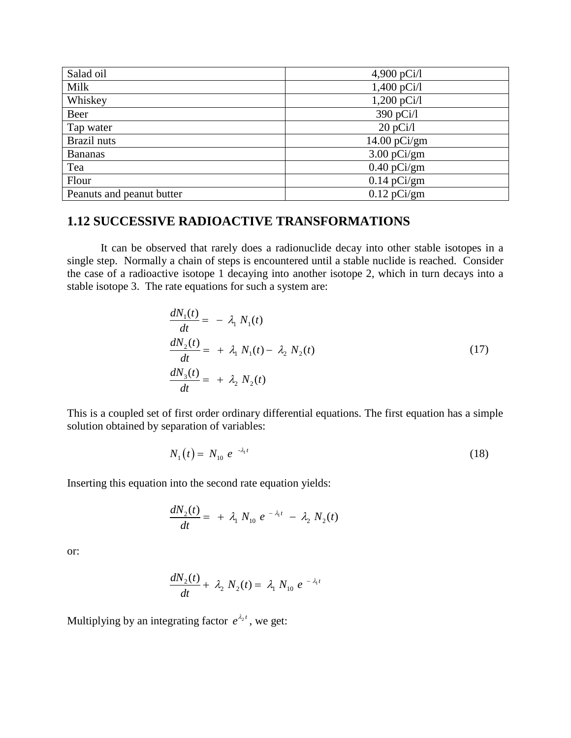| Salad oil                 | 4,900 $pCi/l$  |
|---------------------------|----------------|
| Milk                      | $1,400$ pCi/l  |
| Whiskey                   | $1,200$ pCi/l  |
| Beer                      | 390 pCi/l      |
| Tap water                 | 20 pCi/1       |
| Brazil nuts               | $14.00$ pCi/gm |
| <b>Bananas</b>            | $3.00$ pCi/gm  |
| Tea                       | $0.40$ pCi/gm  |
| Flour                     | $0.14$ pCi/gm  |
| Peanuts and peanut butter | $0.12$ pCi/gm  |

## **1.12 SUCCESSIVE RADIOACTIVE TRANSFORMATIONS**

It can be observed that rarely does a radionuclide decay into other stable isotopes in a single step. Normally a chain of steps is encountered until a stable nuclide is reached. Consider the case of a radioactive isotope 1 decaying into another isotope 2, which in turn decays into a stable isotope 3. The rate equations for such a system are:

$$
\frac{dN_1(t)}{dt} = -\lambda_1 N_1(t)
$$
\n
$$
\frac{dN_2(t)}{dt} = +\lambda_1 N_1(t) - \lambda_2 N_2(t)
$$
\n
$$
\frac{dN_3(t)}{dt} = +\lambda_2 N_2(t)
$$
\n(17)

This is a coupled set of first order ordinary differential equations. The first equation has a simple solution obtained by separation of variables:

$$
N_1(t) = N_{10} e^{-\lambda_1 t} \tag{18}
$$

Inserting this equation into the second rate equation yields:

$$
\frac{dN_2(t)}{dt} = + \lambda_1 N_{10} e^{-\lambda_1 t} - \lambda_2 N_2(t)
$$

or:

$$
\frac{dN_2(t)}{dt} + \lambda_2 N_2(t) = \lambda_1 N_{10} e^{-\lambda_1 t}
$$

Multiplying by an integrating factor  $e^{\lambda_2 t}$ , we get: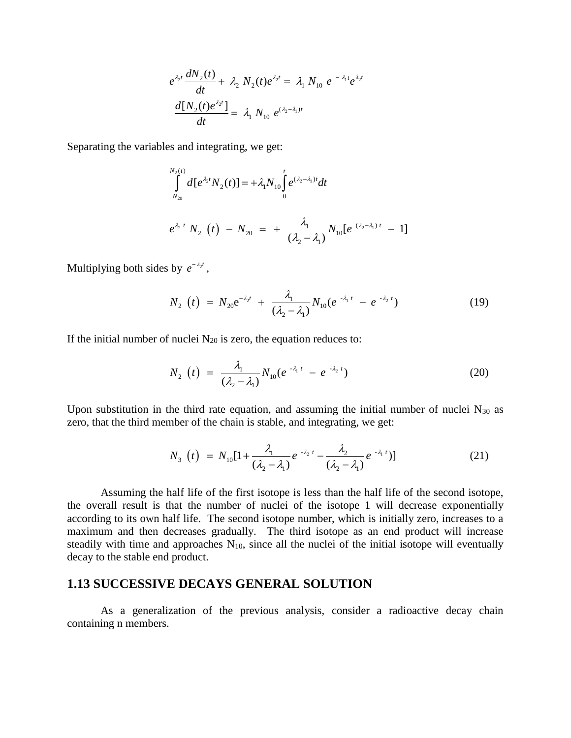$$
e^{\lambda_2 t} \frac{dN_2(t)}{dt} + \lambda_2 N_2(t) e^{\lambda_2 t} = \lambda_1 N_{10} e^{-\lambda_1 t} e^{\lambda_2 t}
$$

$$
\frac{d[N_2(t) e^{\lambda_2 t}]}{dt} = \lambda_1 N_{10} e^{(\lambda_2 - \lambda_1)t}
$$

Separating the variables and integrating, we get:

$$
\int_{N_{20}}^{N_2(t)} d[e^{\lambda_2 t} N_2(t)] = +\lambda_1 N_{10} \int_0^t e^{(\lambda_2 - \lambda_1)t} dt
$$
\n
$$
e^{\lambda_2 t} N_2(t) - N_{20} = + \frac{\lambda_1}{(\lambda_2 - \lambda_1)} N_{10} [e^{(\lambda_2 - \lambda_1)t} - 1]
$$

Multiplying both sides by  $e^{-\lambda_2 t}$ ,

$$
N_2(t) = N_{20}e^{-\lambda_2 t} + \frac{\lambda_1}{(\lambda_2 - \lambda_1)} N_{10}(e^{-\lambda_1 t} - e^{-\lambda_2 t})
$$
 (19)

If the initial number of nuclei  $N_{20}$  is zero, the equation reduces to:

$$
N_2(t) = \frac{\lambda_1}{(\lambda_2 - \lambda_1)} N_{10} (e^{-\lambda_1 t} - e^{-\lambda_2 t})
$$
 (20)

Upon substitution in the third rate equation, and assuming the initial number of nuclei  $N_{30}$  as

zero, that the third member of the chain is stable, and integrating, we get:  
\n
$$
N_3 \t\t\left(t\right) = N_{10} \left[1 + \frac{\lambda_1}{\left(\lambda_2 - \lambda_1\right)} e^{-\lambda_2 t} - \frac{\lambda_2}{\left(\lambda_2 - \lambda_1\right)} e^{-\lambda_1 t}\right]
$$
\n(21)

Assuming the half life of the first isotope is less than the half life of the second isotope, the overall result is that the number of nuclei of the isotope 1 will decrease exponentially according to its own half life. The second isotope number, which is initially zero, increases to a maximum and then decreases gradually. The third isotope as an end product will increase steadily with time and approaches  $N_{10}$ , since all the nuclei of the initial isotope will eventually decay to the stable end product.

### **1.13 SUCCESSIVE DECAYS GENERAL SOLUTION**

As a generalization of the previous analysis, consider a radioactive decay chain containing n members.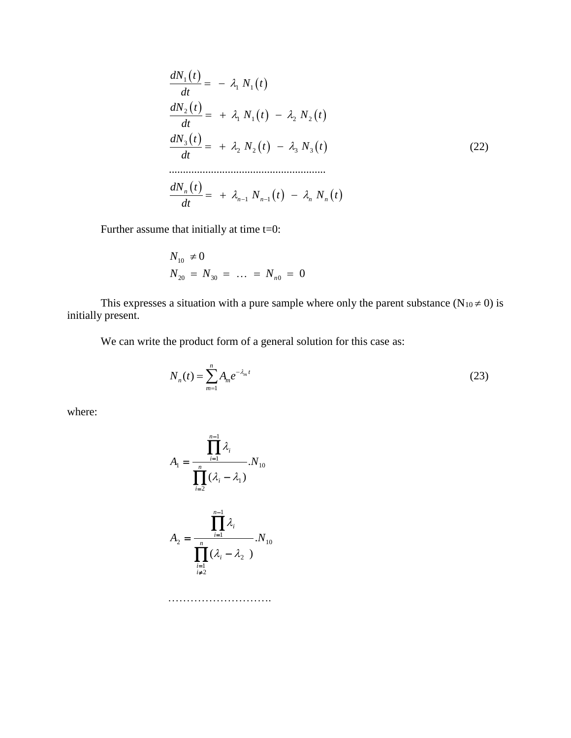$$
\frac{dN_1(t)}{dt} = -\lambda_1 N_1(t)
$$
\n
$$
\frac{dN_2(t)}{dt} = +\lambda_1 N_1(t) - \lambda_2 N_2(t)
$$
\n
$$
\frac{dN_3(t)}{dt} = +\lambda_2 N_2(t) - \lambda_3 N_3(t)
$$
\n
$$
\dots
$$
\n
$$
\frac{dN_n(t)}{dt} = +\lambda_{n-1} N_{n-1}(t) - \lambda_n N_n(t)
$$
\n(22)

Further assume that initially at time t=0:

$$
N_{10} \neq 0
$$
  

$$
N_{20} = N_{30} = \dots = N_{n0} = 0
$$

This expresses a situation with a pure sample where only the parent substance ( $N_{10} \neq 0$ ) is initially present.

We can write the product form of a general solution for this case as:

$$
N_n(t) = \sum_{m=1}^n A_m e^{-\lambda_m t}
$$
 (23)

where:

$$
A_1 = \frac{\prod_{i=1}^{n-1} \lambda_i}{\prod_{i=2}^n (\lambda_i - \lambda_1)}
$$

$$
A_2 = \frac{\prod_{i=1}^{n-1} \lambda_i}{\prod_{i=1}^n (\lambda_i - \lambda_2)}
$$

$$
N_{10}
$$

……………………………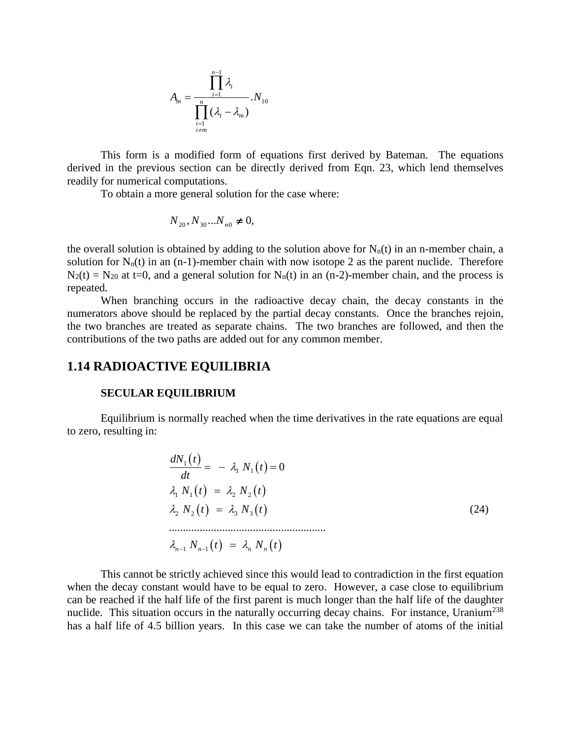$$
A_m = \frac{\prod_{i=1}^{n-1} \lambda_i}{\prod_{\substack{i=1 \ i \neq m}}^{n} (\lambda_i - \lambda_m)} N_{10}
$$

This form is a modified form of equations first derived by Bateman. The equations derived in the previous section can be directly derived from Eqn. 23, which lend themselves readily for numerical computations.

To obtain a more general solution for the case where:

$$
N_{20}, N_{30}...N_{n0} \neq 0,
$$

the overall solution is obtained by adding to the solution above for  $N_n(t)$  in an n-member chain, a solution for  $N_n(t)$  in an (n-1)-member chain with now isotope 2 as the parent nuclide. Therefore  $N_2(t) = N_{20}$  at t=0, and a general solution for  $N_n(t)$  in an (n-2)-member chain, and the process is repeated.

When branching occurs in the radioactive decay chain, the decay constants in the numerators above should be replaced by the partial decay constants. Once the branches rejoin, the two branches are treated as separate chains. The two branches are followed, and then the contributions of the two paths are added out for any common member.

### **1.14 RADIOACTIVE EQUILIBRIA**

#### **SECULAR EQUILIBRIUM**

Equilibrium is normally reached when the time derivatives in the rate equations are equal to zero, resulting in:

$$
\frac{dN_1(t)}{dt} = -\lambda_1 N_1(t) = 0
$$
  
\n
$$
\lambda_1 N_1(t) = \lambda_2 N_2(t)
$$
  
\n
$$
\lambda_2 N_2(t) = \lambda_3 N_3(t)
$$
  
\n
$$
\dots
$$
  
\n
$$
\lambda_{n-1} N_{n-1}(t) = \lambda_n N_n(t)
$$
\n(24)

This cannot be strictly achieved since this would lead to contradiction in the first equation when the decay constant would have to be equal to zero. However, a case close to equilibrium can be reached if the half life of the first parent is much longer than the half life of the daughter nuclide. This situation occurs in the naturally occurring decay chains. For instance, Uranium<sup>238</sup> has a half life of 4.5 billion years. In this case we can take the number of atoms of the initial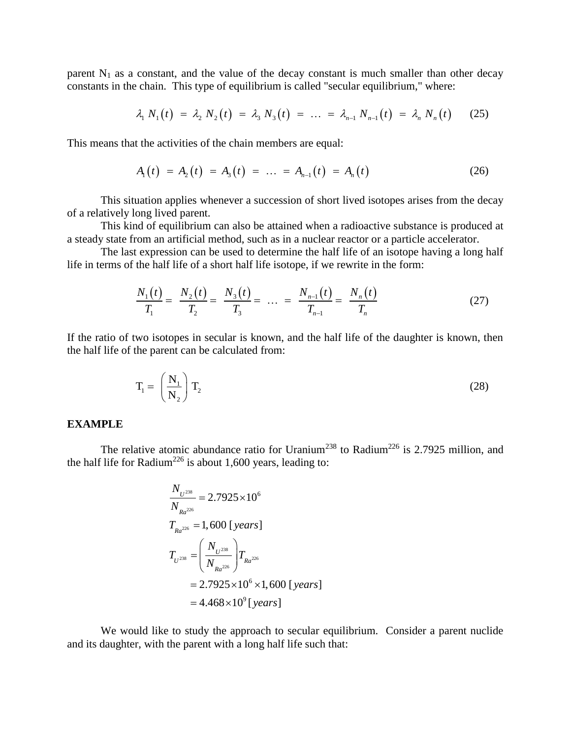parent  $N_1$  as a constant, and the value of the decay constant is much smaller than other decay constants in the chain. This type of equilibrium is called "secular equilibrium," where: constant, and the value of the decay constant is filter sinality than<br>  $\lambda_1 N_1(t) = \lambda_2 N_2(t) = \lambda_3 N_3(t) = \dots = \lambda_{n-1} N_{n-1}(t) = \lambda_n N_n(t)$ 

$$
\lambda_1 N_1(t) = \lambda_2 N_2(t) = \lambda_3 N_3(t) = \ldots = \lambda_{n-1} N_{n-1}(t) = \lambda_n N_n(t) \qquad (25)
$$

This means that the activities of the chain members are equal:  
\n
$$
A_1(t) = A_2(t) = A_3(t) = \dots = A_{n-1}(t) = A_n(t)
$$
\n(26)

This situation applies whenever a succession of short lived isotopes arises from the decay of a relatively long lived parent.

This kind of equilibrium can also be attained when a radioactive substance is produced at a steady state from an artificial method, such as in a nuclear reactor or a particle accelerator.

The last expression can be used to determine the half life of an isotope having a long half

life in terms of the half life of a short half life isotope, if we rewrite in the form:  
\n
$$
\frac{N_1(t)}{T_1} = \frac{N_2(t)}{T_2} = \frac{N_3(t)}{T_3} = \dots = \frac{N_{n-1}(t)}{T_{n-1}} = \frac{N_n(t)}{T_n}
$$
\n(27)

If the ratio of two isotopes in secular is known, and the half life of the daughter is known, then the half life of the parent can be calculated from:

$$
T_1 = \left(\frac{N_1}{N_2}\right) T_2 \tag{28}
$$

#### **EXAMPLE**

The relative atomic abundance ratio for Uranium<sup>238</sup> to Radium<sup>226</sup> is 2.7925 million, and the half life for Radium<sup>226</sup> is about 1,600 years, leading to:

$$
\frac{N_{U^{238}}}{N_{Ra^{226}}} = 2.7925 \times 10^6
$$
\n
$$
T_{Ra^{226}} = 1,600 \text{ [years]}
$$
\n
$$
T_{U^{238}} = \left(\frac{N_{U^{238}}}{N_{Ra^{226}}}\right) T_{Ra^{226}}
$$
\n
$$
= 2.7925 \times 10^6 \times 1,600 \text{ [years]}
$$
\n
$$
= 4.468 \times 10^9 \text{ [years]}
$$

We would like to study the approach to secular equilibrium. Consider a parent nuclide and its daughter, with the parent with a long half life such that: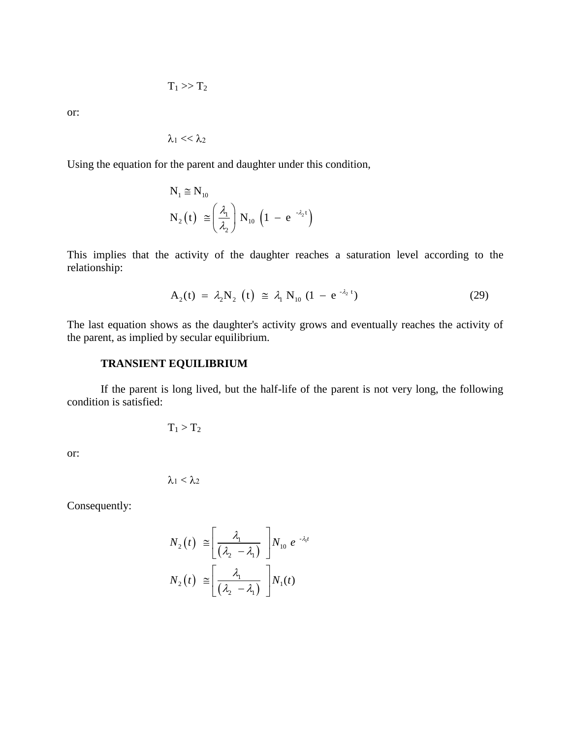$$
T_1>>T_2
$$

or:

$$
\lambda_1 << \lambda_2
$$

Using the equation for the parent and daughter under this condition,

$$
N_1 \cong N_{10}
$$
  
\n
$$
N_2(t) \cong \left(\frac{\lambda_1}{\lambda_2}\right) N_{10} \left(1 - e^{-\lambda_2 t}\right)
$$

This implies that the activity of the daughter reaches a saturation level according to the relationship:

$$
A_2(t) = \lambda_2 N_2(t) \approx \lambda_1 N_{10} (1 - e^{-\lambda_2 t})
$$
 (29)

The last equation shows as the daughter's activity grows and eventually reaches the activity of the parent, as implied by secular equilibrium.

#### **TRANSIENT EQUILIBRIUM**

If the parent is long lived, but the half-life of the parent is not very long, the following condition is satisfied:

$$
T_1 > T_2
$$

or:

$$
\lambda_1<\lambda_2
$$

Consequently:

$$
N_2(t) \cong \left[\frac{\lambda_1}{(\lambda_2 - \lambda_1)}\right] N_{10} e^{-\lambda_1 t}
$$

$$
N_2(t) \cong \left[\frac{\lambda_1}{(\lambda_2 - \lambda_1)}\right] N_1(t)
$$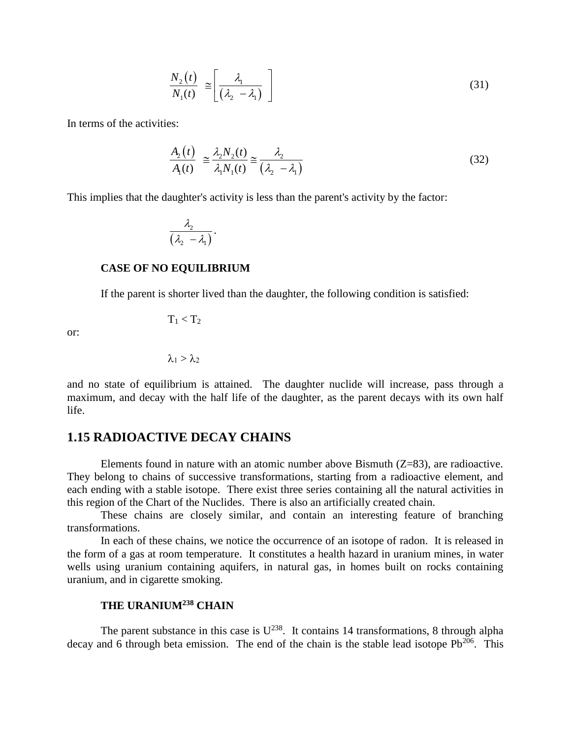$$
\frac{N_2(t)}{N_1(t)} \equiv \left[ \frac{\lambda_1}{\left(\lambda_2 - \lambda_1\right)} \right] \tag{31}
$$

In terms of the activities:

$$
\frac{A_2(t)}{A_1(t)} \cong \frac{\lambda_2 N_2(t)}{\lambda_1 N_1(t)} \cong \frac{\lambda_2}{\left(\lambda_2 - \lambda_1\right)}\tag{32}
$$

This implies that the daughter's activity is less than the parent's activity by the factor:

$$
\frac{\lambda_2}{(\lambda_2-\lambda_1)}.
$$

#### **CASE OF NO EQUILIBRIUM**

If the parent is shorter lived than the daughter, the following condition is satisfied:

$$
T_1 \hspace{-0.5mm} < \hspace{-0.5mm} T_2
$$

or:

 $\lambda_1 > \lambda_2$ 

and no state of equilibrium is attained. The daughter nuclide will increase, pass through a maximum, and decay with the half life of the daughter, as the parent decays with its own half life.

### **1.15 RADIOACTIVE DECAY CHAINS**

Elements found in nature with an atomic number above Bismuth  $(Z=83)$ , are radioactive. They belong to chains of successive transformations, starting from a radioactive element, and each ending with a stable isotope. There exist three series containing all the natural activities in this region of the Chart of the Nuclides. There is also an artificially created chain.

These chains are closely similar, and contain an interesting feature of branching transformations.

In each of these chains, we notice the occurrence of an isotope of radon. It is released in the form of a gas at room temperature. It constitutes a health hazard in uranium mines, in water wells using uranium containing aquifers, in natural gas, in homes built on rocks containing uranium, and in cigarette smoking.

### **THE URANIUM<sup>238</sup> CHAIN**

The parent substance in this case is  $U^{238}$ . It contains 14 transformations, 8 through alpha decay and 6 through beta emission. The end of the chain is the stable lead isotope  $Pb^{206}$ . This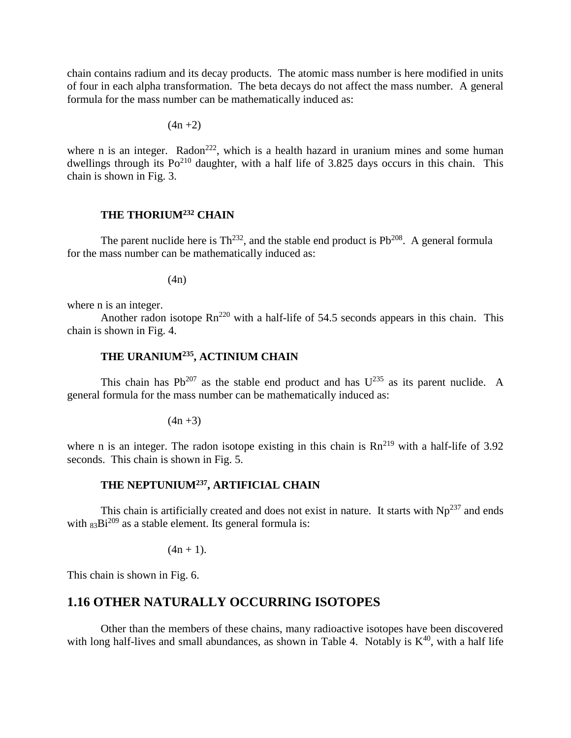chain contains radium and its decay products. The atomic mass number is here modified in units of four in each alpha transformation. The beta decays do not affect the mass number. A general formula for the mass number can be mathematically induced as:

$$
(4n + 2)
$$

where n is an integer. Radon<sup>222</sup>, which is a health hazard in uranium mines and some human dwellings through its  $Po^{210}$  daughter, with a half life of 3.825 days occurs in this chain. This chain is shown in Fig. 3.

#### **THE THORIUM<sup>232</sup> CHAIN**

The parent nuclide here is  $Th^{232}$ , and the stable end product is  $Pb^{208}$ . A general formula for the mass number can be mathematically induced as:

(4n)

where n is an integer.

Another radon isotope  $\text{Rn}^{220}$  with a half-life of 54.5 seconds appears in this chain. This chain is shown in Fig. 4.

### **THE URANIUM<sup>235</sup>, ACTINIUM CHAIN**

This chain has  $Pb^{207}$  as the stable end product and has  $U^{235}$  as its parent nuclide. A general formula for the mass number can be mathematically induced as:

 $(4n + 3)$ 

where n is an integer. The radon isotope existing in this chain is  $Rn^{219}$  with a half-life of 3.92 seconds. This chain is shown in Fig. 5.

## **THE NEPTUNIUM<sup>237</sup>, ARTIFICIAL CHAIN**

This chain is artificially created and does not exist in nature. It starts with  $Np^{237}$  and ends with  $83\text{Bi}^{209}$  as a stable element. Its general formula is:

 $(4n + 1)$ .

This chain is shown in Fig. 6.

### **1.16 OTHER NATURALLY OCCURRING ISOTOPES**

Other than the members of these chains, many radioactive isotopes have been discovered with long half-lives and small abundances, as shown in Table 4. Notably is  $K^{40}$ , with a half life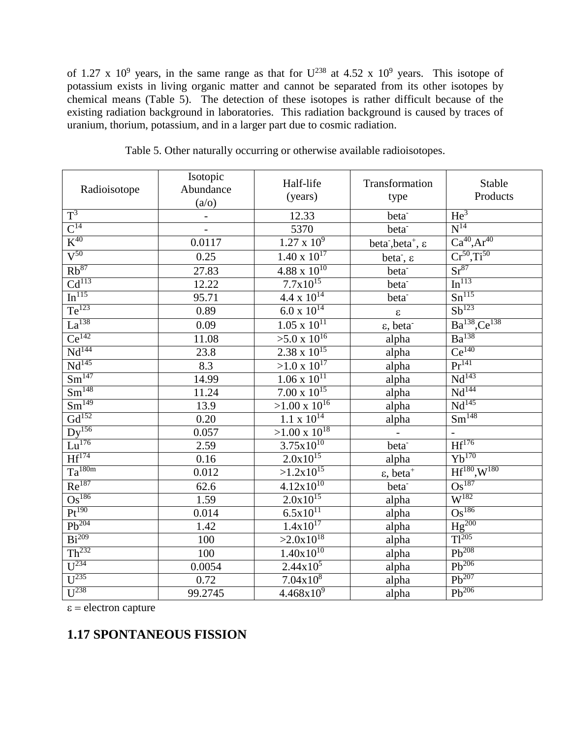# **1.17 SPONTANEOUS FISSION**

| $\epsilon$ = electron capture |  |
|-------------------------------|--|
|-------------------------------|--|

|                               | Isotopic                 | Half-life                            | Transformation                                        | Stable                         |
|-------------------------------|--------------------------|--------------------------------------|-------------------------------------------------------|--------------------------------|
| Radioisotope                  | Abundance                | (years)                              | type                                                  | Products                       |
|                               | (a/o)                    |                                      |                                                       |                                |
| $T^3$                         | $\overline{\phantom{a}}$ | 12.33                                | beta <sup>-</sup>                                     | He <sup>3</sup>                |
| $\mathsf{C}^{14}$             | $\frac{1}{\sqrt{2}}$     | 5370                                 | beta <sup>-</sup>                                     | $N^{14}$                       |
| $K^{40}$                      | 0.0117                   | $1.27 \times 10^9$                   | beta <sup>-</sup> , beta <sup>+</sup> , $\varepsilon$ | $Ca^{40}, Ar^{40}$             |
| $\overline{V^{50}}$           | 0.25                     | $1.\overline{40 \times 10^{17}}$     | beta <sup>-</sup> , $\varepsilon$                     | $Cr^{50}, Ti^{50}$             |
| $Rb^{87}$                     | 27.83                    | $4.88 \times 10^{10}$                | beta <sup>-</sup>                                     | $Sr^{87}$                      |
| Cd <sup>113</sup>             | 12.22                    | $7.7x\overline{10^{15}}$             | beta <sup>-</sup>                                     | In <sup>113</sup>              |
| In <sup>115</sup>             | 95.71                    | $\frac{4.4 \times 10^{14}}{10^{14}}$ | beta <sup>-</sup>                                     | $Sn^{115}$                     |
| $Te^{123}$                    | 0.89                     | $6.0 \times 10^{14}$                 | $\boldsymbol{\varepsilon}$                            | $Sb^{123}$                     |
| $La^{138}$                    | 0.09                     | $1.05 \times 10^{11}$                | $\varepsilon$ , beta                                  | $Ba^{138}$ , Ce <sup>138</sup> |
| $Ce^{142}$                    | 11.08                    | $>5.0 \times 10^{16}$                | alpha                                                 | $Ba^{138}$                     |
| Nd <sup>144</sup>             | 23.8                     | $2.38 \times 10^{15}$                | alpha                                                 | Ce <sup>140</sup>              |
| Nd <sup>145</sup>             | 8.3                      | $>1.0 \times 10^{17}$                | alpha                                                 | $\overline{\Pr^{141}}$         |
| Sm <sup>147</sup>             | 14.99                    | $1.06 \times 10^{11}$                | alpha                                                 | Nd <sup>143</sup>              |
| Sm <sup>148</sup>             | 11.24                    | $7.00 \times 10^{15}$                | alpha                                                 | $\overline{\text{Nd}^{144}}$   |
| $\overline{\text{Sm}^{149}}$  | 13.9                     | $>1.00 \times 10^{16}$               | alpha                                                 | $Nd^{145}$                     |
| $Gd^{152}$                    | 0.20                     | $1.1 \times 10^{14}$                 | alpha                                                 | $\overline{\text{Sm}^{148}}$   |
| $\overline{Dy^{156}}$         | 0.057                    | $>1.00 \times 10^{18}$               | $\blacksquare$                                        |                                |
| $Lu^{176}$                    | 2.59                     | $3.75 \times 10^{10}$                | beta <sup>-</sup>                                     | $\overline{Hf^{176}}$          |
| $Hf^{174}$                    | 0.16                     | $2.0x10^{15}$                        | alpha                                                 | $Yb^{170}$                     |
| $Ta^{180m}$                   | 0.012                    | $>1.2 \times 10^{15}$                | $\varepsilon$ , beta <sup>+</sup>                     | $Hf^{180}, W^{180}$            |
| $Re^{187}$                    | 62.6                     | $4.12x10^{10}$                       | beta <sup>-</sup>                                     | $\overline{\text{Os}^{187}}$   |
| $Os^{186}$                    | 1.59                     | $2.0x\overline{10^{15}}$             | alpha                                                 | $W^{182}$                      |
| $Pt^{190}$                    | 0.014                    | $6.5x10^{11}$                        | alpha                                                 | $Os^{186}$                     |
| $Pb^{204}$                    | 1.42                     | $1.4x10^{17}$                        | alpha                                                 | $Hg^{200}$                     |
| $Bi^{209}$                    | 100                      | $>2.0x10^{18}$                       | alpha                                                 | $Tl^{205}$                     |
| Th <sup>232</sup>             | 100                      | $1.40x10^{10}$                       | alpha                                                 | $Pb^{208}$                     |
| $U^{234}$                     | 0.0054                   | $2.44x10^{\overline{5}}$             | alpha                                                 | $Pb^{206}$                     |
| $U^{235}$                     | 0.72                     | $7.04x\overline{10^8}$               | alpha                                                 | $Pb^{207}$                     |
| $\overline{\mathbf{U}^{238}}$ | 99.2745                  | $4.468 \times 10^{9}$                | alpha                                                 | $Pb^{206}$                     |

| Table 5. Other naturally occurring or otherwise available radioisotopes. |  |  |
|--------------------------------------------------------------------------|--|--|
|                                                                          |  |  |

of 1.27 x 10<sup>9</sup> years, in the same range as that for  $U^{238}$  at 4.52 x 10<sup>9</sup> years. This isotope of potassium exists in living organic matter and cannot be separated from its other isotopes by chemical means (Table 5). The detection of these isotopes is rather difficult because of the existing radiation background in laboratories. This radiation background is caused by traces of uranium, thorium, potassium, and in a larger part due to cosmic radiation.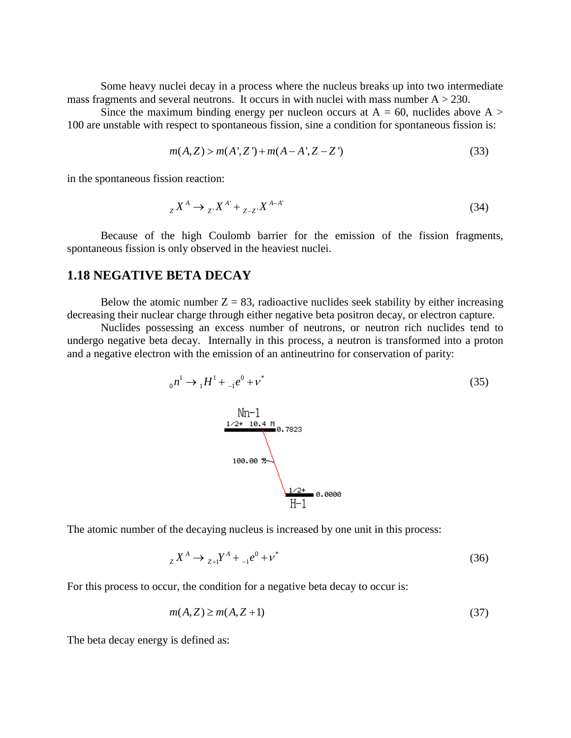Some heavy nuclei decay in a process where the nucleus breaks up into two intermediate mass fragments and several neutrons. It occurs in with nuclei with mass number  $A > 230$ .

Since the maximum binding energy per nucleon occurs at  $A = 60$ , nuclides above  $A >$ 100 are unstable with respect to spontaneous fission, sine a condition for spontaneous fission is:

$$
m(A,Z) > m(A',Z') + m(A-A',Z-Z')
$$
 (33)

in the spontaneous fission reaction:

$$
{}_{Z}X^{A} \to {}_{Z'}X^{A'} + {}_{Z-Z'}X^{A-A'} \tag{34}
$$

Because of the high Coulomb barrier for the emission of the fission fragments, spontaneous fission is only observed in the heaviest nuclei.

### **1.18 NEGATIVE BETA DECAY**

Below the atomic number  $Z = 83$ , radioactive nuclides seek stability by either increasing decreasing their nuclear charge through either negative beta positron decay, or electron capture.

Nuclides possessing an excess number of neutrons, or neutron rich nuclides tend to undergo negative beta decay. Internally in this process, a neutron is transformed into a proton and a negative electron with the emission of an antineutrino for conservation of parity:

$$
{}_{0}n^{1} \rightarrow {}_{1}H^{1} + {}_{-1}e^{0} + \nu^{*}
$$
\n
$$
\begin{array}{c}\n\text{Nm-1} \\
\hline\n\frac{1 \cdot 2 + 10.4 \text{ M}}{100.00 \text{ m}} \\
\hline\n100.00 \text{ m}\n\end{array}
$$
\n(35)

The atomic number of the decaying nucleus is increased by one unit in this process:

$$
{}_{Z}X^{A} \to {}_{Z+1}Y^{A} + {}_{-1}e^{0} + \nu^{*}
$$
\n(36)

For this process to occur, the condition for a negative beta decay to occur is:

$$
m(A, Z) \ge m(A, Z + 1) \tag{37}
$$

The beta decay energy is defined as: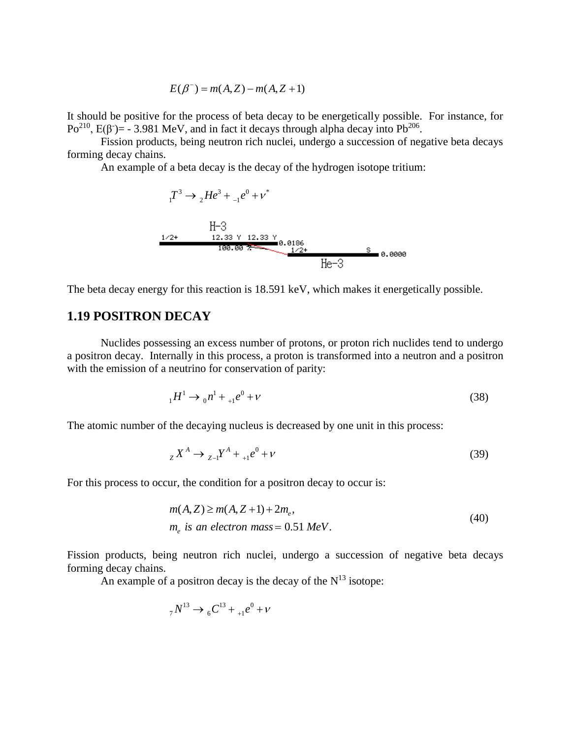$$
E(\beta^-) = m(A,Z) - m(A,Z+1)
$$

It should be positive for the process of beta decay to be energetically possible. For instance, for Po<sup>210</sup>, E(β<sup>-</sup>)= - 3.981 MeV, and in fact it decays through alpha decay into Pb<sup>206</sup>.

Fission products, being neutron rich nuclei, undergo a succession of negative beta decays forming decay chains.

An example of a beta decay is the decay of the hydrogen isotope tritium:

$$
{}_{1}T^{3} \rightarrow {}_{2}He^{3} + {}_{-1}e^{0} + v^{*}
$$
  
H-3  
1/2+ 12.33 Y 12.33 Y  
100.007  
1/2+ 160.007  
1/2+ 5 0.0000  
He-3

The beta decay energy for this reaction is 18.591 keV, which makes it energetically possible.

### **1.19 POSITRON DECAY**

Nuclides possessing an excess number of protons, or proton rich nuclides tend to undergo a positron decay. Internally in this process, a proton is transformed into a neutron and a positron with the emission of a neutrino for conservation of parity:

$$
{}_{1}H^{1} \to {}_{0}n^{1} + {}_{+1}e^{0} + \nu \tag{38}
$$

The atomic number of the decaying nucleus is decreased by one unit in this process:

$$
{}_{Z}X^{A} \to {}_{Z-I}Y^{A} + {}_{+1}e^{0} + \nu
$$
\n(39)

For this process to occur, the condition for a positron decay to occur is:

$$
m(A, Z) \ge m(A, Z + 1) + 2m_e,
$$
  
\n
$$
m_e \text{ is an electron mass} = 0.51 \text{ MeV}.
$$
\n(40)

Fission products, being neutron rich nuclei, undergo a succession of negative beta decays forming decay chains.

An example of a positron decay is the decay of the  $N^{13}$  isotope:

$$
_{7}N^{13} \rightarrow {}_{6}C^{13} + {}_{+1}e^{0} + \nu
$$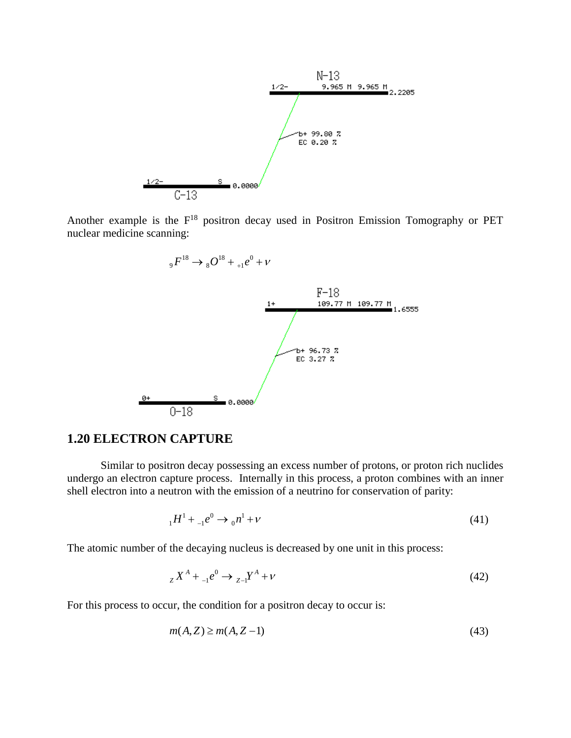

Another example is the  $F^{18}$  positron decay used in Positron Emission Tomography or PET nuclear medicine scanning:



#### **1.20 ELECTRON CAPTURE**

Similar to positron decay possessing an excess number of protons, or proton rich nuclides undergo an electron capture process. Internally in this process, a proton combines with an inner shell electron into a neutron with the emission of a neutrino for conservation of parity:

$$
{}_{1}H^{1} + {}_{-1}e^{0} \rightarrow {}_{0}n^{1} + \nu
$$
\n(41)

The atomic number of the decaying nucleus is decreased by one unit in this process:

$$
{}_{Z}X^{A} + {}_{-1}e^{0} \to {}_{Z-1}Y^{A} + \nu
$$
\n(42)

For this process to occur, the condition for a positron decay to occur is:

$$
m(A, Z) \ge m(A, Z - 1) \tag{43}
$$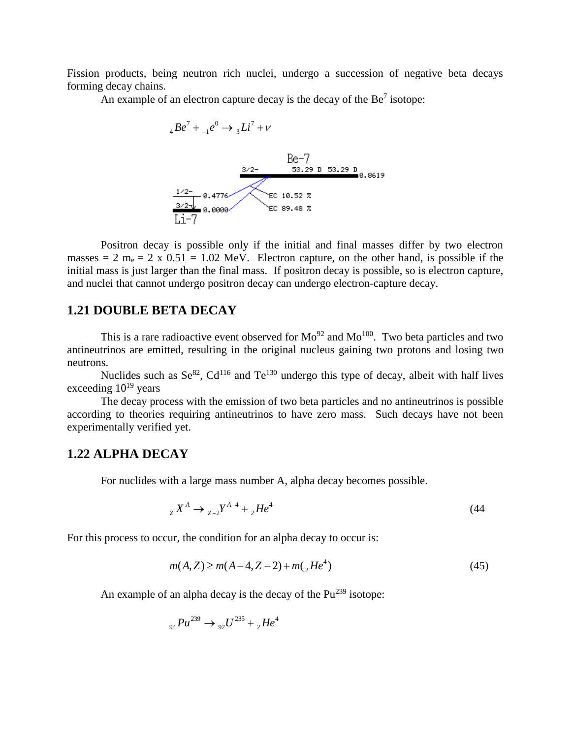Fission products, being neutron rich nuclei, undergo a succession of negative beta decays forming decay chains.

An example of an electron capture decay is the decay of the  $Be<sup>7</sup>$  isotope:



Positron decay is possible only if the initial and final masses differ by two electron masses = 2  $m_e$  = 2 x 0.51 = 1.02 MeV. Electron capture, on the other hand, is possible if the initial mass is just larger than the final mass. If positron decay is possible, so is electron capture, and nuclei that cannot undergo positron decay can undergo electron-capture decay.

### **1.21 DOUBLE BETA DECAY**

This is a rare radioactive event observed for  $Mo^{92}$  and  $Mo^{100}$ . Two beta particles and two antineutrinos are emitted, resulting in the original nucleus gaining two protons and losing two neutrons.

Nuclides such as  $\text{Se}^{82}$ ,  $\text{Cd}^{116}$  and  $\text{Te}^{130}$  undergo this type of decay, albeit with half lives exceeding  $10^{19}$  years

The decay process with the emission of two beta particles and no antineutrinos is possible according to theories requiring antineutrinos to have zero mass. Such decays have not been experimentally verified yet.

### **1.22 ALPHA DECAY**

For nuclides with a large mass number A, alpha decay becomes possible.

$$
{}_{Z}X^{A} \to {}_{Z-2}Y^{A-4} + {}_{2}He^{4}
$$
 (44)

For this process to occur, the condition for an alpha decay to occur is:

$$
m(A, Z) \ge m(A - 4, Z - 2) + m({}_{2}He^{4})
$$
\n(45)

An example of an alpha decay is the decay of the  $Pu^{239}$  isotope:

$$
_{94}Pu^{239} \rightarrow _{92}U^{235} + _{2}He^{4}
$$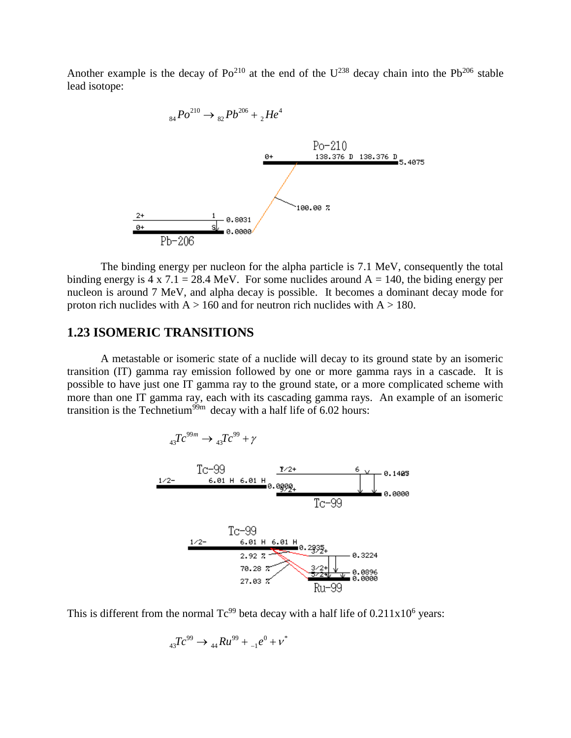Another example is the decay of  $Po^{210}$  at the end of the  $U^{238}$  decay chain into the Pb<sup>206</sup> stable lead isotope:



The binding energy per nucleon for the alpha particle is 7.1 MeV, consequently the total binding energy is 4 x 7.1 = 28.4 MeV. For some nuclides around  $A = 140$ , the biding energy per nucleon is around 7 MeV, and alpha decay is possible. It becomes a dominant decay mode for proton rich nuclides with  $A > 160$  and for neutron rich nuclides with  $A > 180$ .

### **1.23 ISOMERIC TRANSITIONS**

A metastable or isomeric state of a nuclide will decay to its ground state by an isomeric transition (IT) gamma ray emission followed by one or more gamma rays in a cascade. It is possible to have just one IT gamma ray to the ground state, or a more complicated scheme with more than one IT gamma ray, each with its cascading gamma rays. An example of an isomeric transition is the Technetium<sup>99m</sup> decay with a half life of 6.02 hours:



This is different from the normal  $Tc^{99}$  beta decay with a half life of  $0.211x10^6$  years:

$$
{}_{43}Tc^{99} \rightarrow {}_{44}Ru^{99} + {}_{-1}e^{0} + \nu^*
$$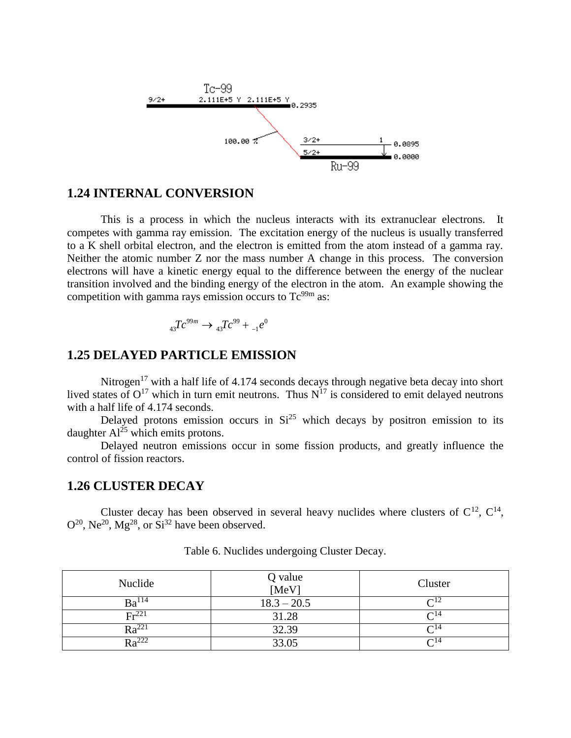

### **1.24 INTERNAL CONVERSION**

This is a process in which the nucleus interacts with its extranuclear electrons. It competes with gamma ray emission. The excitation energy of the nucleus is usually transferred to a K shell orbital electron, and the electron is emitted from the atom instead of a gamma ray. Neither the atomic number Z nor the mass number A change in this process. The conversion electrons will have a kinetic energy equal to the difference between the energy of the nuclear transition involved and the binding energy of the electron in the atom. An example showing the competition with gamma rays emission occurs to  $Tc^{99m}$  as:

$$
{}_{43}Tc^{99m} \rightarrow {}_{43}Tc^{99} + {}_{-1}e^{0}
$$

### **1.25 DELAYED PARTICLE EMISSION**

Nitrogen<sup>17</sup> with a half life of 4.174 seconds decays through negative beta decay into short lived states of  $O^{17}$  which in turn emit neutrons. Thus  $N^{17}$  is considered to emit delayed neutrons with a half life of 4.174 seconds.

Delayed protons emission occurs in  $Si<sup>25</sup>$  which decays by positron emission to its daughter  $Al^{25}$  which emits protons.

Delayed neutron emissions occur in some fission products, and greatly influence the control of fission reactors.

#### **1.26 CLUSTER DECAY**

Cluster decay has been observed in several heavy nuclides where clusters of  $C^{12}$ ,  $C^{14}$ ,  $O^{20}$ , Ne<sup>20</sup>, Mg<sup>28</sup>, or Si<sup>32</sup> have been observed.

| Nuclide           | Q value<br>[MeV] | Cluster                |
|-------------------|------------------|------------------------|
| Ba <sup>114</sup> | $18.3 - 20.5$    | $\mathsf{C}^{12}$      |
| Fr <sup>221</sup> | 31.28            | $\Omega$ <sup>14</sup> |
| $Ra^{221}$        | 32.39            | $\bigcap_{i=1}^{n}$    |
| $Ra^{222}$        | 33.05            | $\mathsf{\Gamma}^{14}$ |

Table 6. Nuclides undergoing Cluster Decay.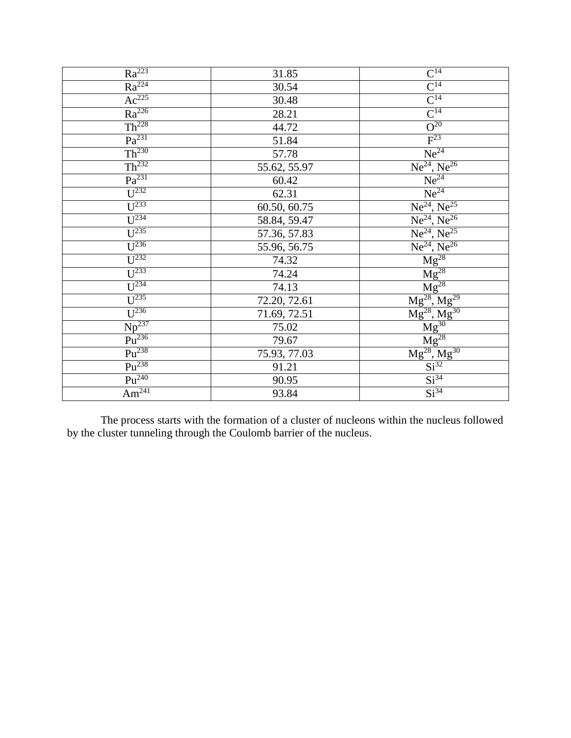| $Ra^{223}$                    | 31.85        | $\frac{C^{14}}{C^{14}}$<br>$\frac{C^{14}}{C^{14}}$                                                                                                                                              |
|-------------------------------|--------------|-------------------------------------------------------------------------------------------------------------------------------------------------------------------------------------------------|
| $Ra^{224}$                    | 30.54        |                                                                                                                                                                                                 |
| $Ac^{225}$                    | 30.48        |                                                                                                                                                                                                 |
| $Ra^{226}$                    | 28.21        |                                                                                                                                                                                                 |
| Th <sup>228</sup>             | 44.72        |                                                                                                                                                                                                 |
| Pa <sup>231</sup>             | 51.84        | $F^{23}$                                                                                                                                                                                        |
| Th <sup>230</sup>             | 57.78        | $Ne^{24}$                                                                                                                                                                                       |
| Th <sup>232</sup>             | 55.62, 55.97 | $Ne^{24}$ , $Ne^{26}$                                                                                                                                                                           |
| Pa <sup>231</sup>             | 60.42        | $\overline{Ne^{24}}$                                                                                                                                                                            |
| $U^{232}$                     | 62.31        | $Ne^{24}$                                                                                                                                                                                       |
| $\overline{U^{233}}$          | 60.50, 60.75 | $Ne^{24}$ , $Ne^{25}$                                                                                                                                                                           |
| $U^{234}$                     | 58.84, 59.47 | $Ne^{24}$ , $Ne^{26}$                                                                                                                                                                           |
| $\overline{U^{235}}$          | 57.36, 57.83 | $\frac{Ne^{24}, Ne^{25}}{Me^{24}, Ne^{26}}$<br>$\frac{Mg^{28}}{Mg^{28}}$                                                                                                                        |
| $U^{236}$                     | 55.96, 56.75 |                                                                                                                                                                                                 |
| $\overline{U^{232}}$          | 74.32        |                                                                                                                                                                                                 |
| $U^{233}$                     | 74.24        |                                                                                                                                                                                                 |
| $\overline{\mathbf{U}^{234}}$ | 74.13        |                                                                                                                                                                                                 |
| $\overline{U^{235}}$          | 72.20, 72.61 |                                                                                                                                                                                                 |
| $\overline{U^{236}}$          | 71.69, 72.51 |                                                                                                                                                                                                 |
| $Np^{237}$                    | 75.02        |                                                                                                                                                                                                 |
| $\overline{Pu^{236}}$         | 79.67        |                                                                                                                                                                                                 |
| $Pu^{238}$                    | 75.93, 77.03 |                                                                                                                                                                                                 |
| $Pu^{238}$                    | 91.21        | $\frac{\text{Mg}}{\text{Mg}^{28}}, \frac{\text{Mg}^{28}}{\text{Mg}^{28}}, \frac{\text{Mg}^{29}}{\text{Mg}^{30}} \ \frac{\text{Mg}^{30}}{\text{Mg}^{28}}, \frac{\text{Mg}^{28}}{\text{Si}^{32}}$ |
| $Pu^{240}$                    | 90.95        | Si <sup>34</sup>                                                                                                                                                                                |
| Am <sup>241</sup>             | 93.84        | Si <sup>34</sup>                                                                                                                                                                                |

The process starts with the formation of a cluster of nucleons within the nucleus followed by the cluster tunneling through the Coulomb barrier of the nucleus.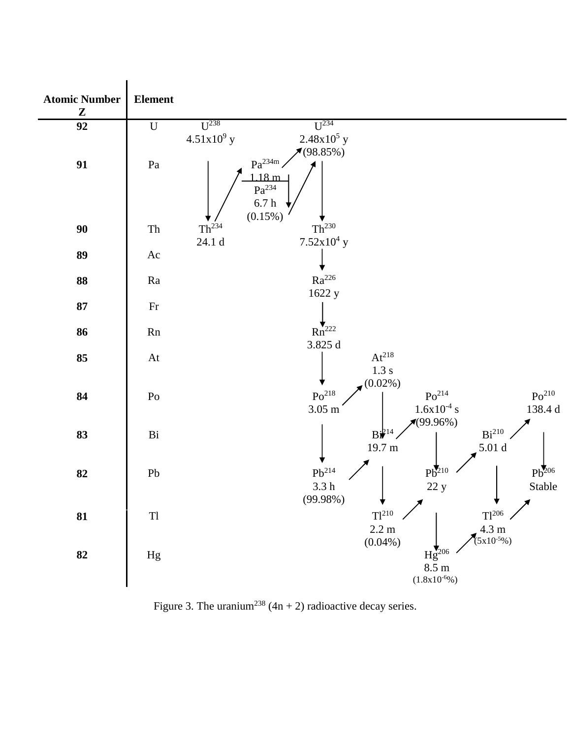

Figure 3. The uranium<sup>238</sup> (4n + 2) radioactive decay series.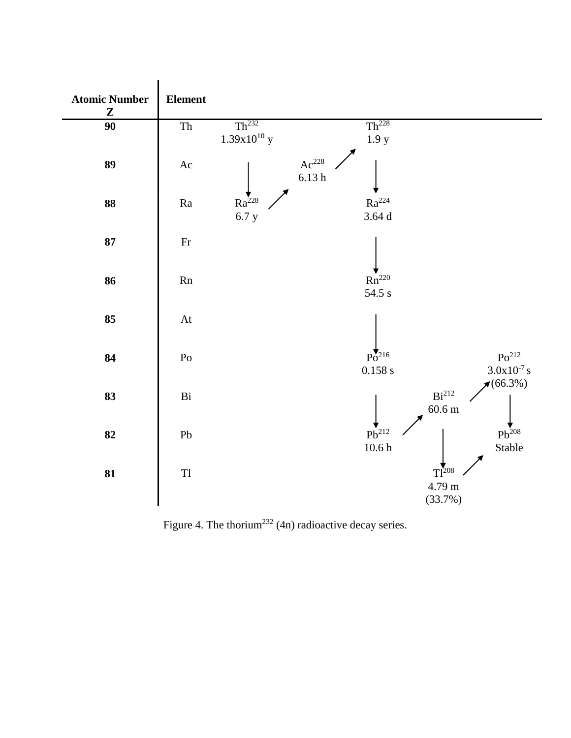

Figure 4. The thorium<sup>232</sup> (4n) radioactive decay series.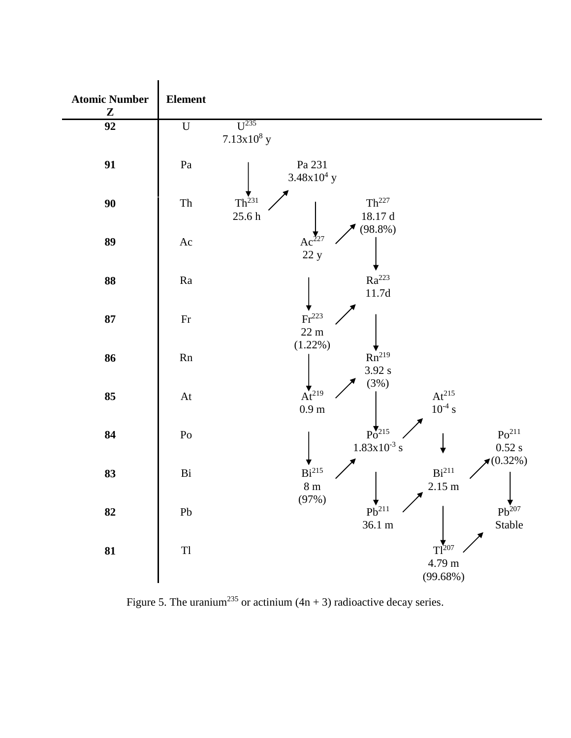

Figure 5. The uranium<sup>235</sup> or actinium (4n + 3) radioactive decay series.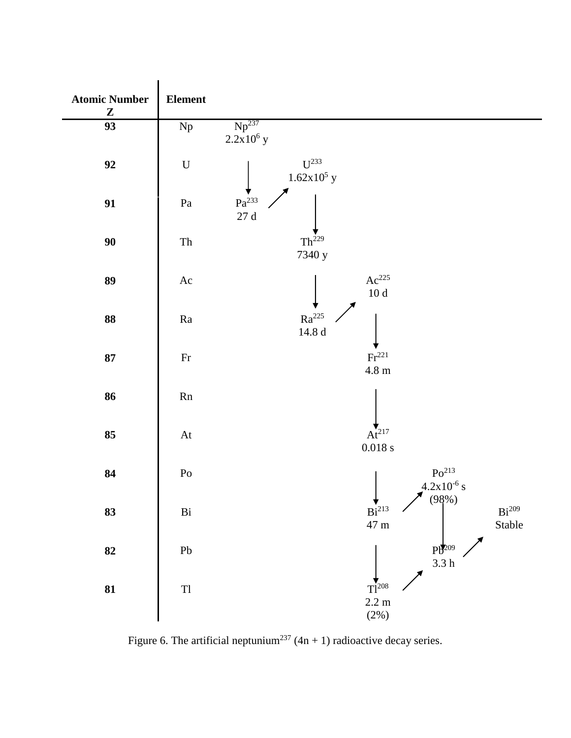

Figure 6. The artificial neptunium<sup>237</sup> (4n + 1) radioactive decay series.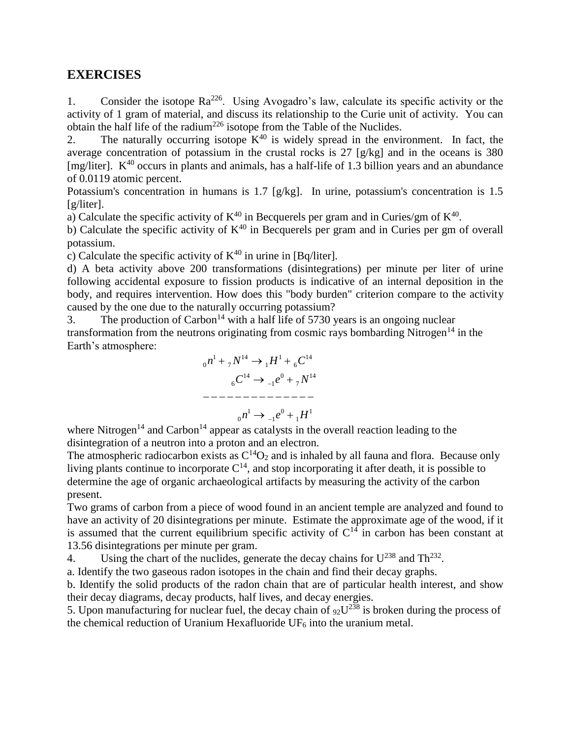### **EXERCISES**

1. Consider the isotope  $Ra^{226}$ . Using Avogadro's law, calculate its specific activity or the activity of 1 gram of material, and discuss its relationship to the Curie unit of activity. You can obtain the half life of the radium<sup>226</sup> isotope from the Table of the Nuclides.

2. The naturally occurring isotope  $K^{40}$  is widely spread in the environment. In fact, the average concentration of potassium in the crustal rocks is 27 [g/kg] and in the oceans is 380 [mg/liter].  $K^{40}$  occurs in plants and animals, has a half-life of 1.3 billion years and an abundance of 0.0119 atomic percent.

Potassium's concentration in humans is 1.7 [g/kg]. In urine, potassium's concentration is 1.5 [g/liter].

a) Calculate the specific activity of  $K^{40}$  in Becquerels per gram and in Curies/gm of  $K^{40}$ .

b) Calculate the specific activity of  $K^{40}$  in Becquerels per gram and in Curies per gm of overall potassium.

c) Calculate the specific activity of  $K^{40}$  in urine in [Bq/liter].

d) A beta activity above 200 transformations (disintegrations) per minute per liter of urine following accidental exposure to fission products is indicative of an internal deposition in the body, and requires intervention. How does this "body burden" criterion compare to the activity caused by the one due to the naturally occurring potassium?

3. The production of Carbon<sup>14</sup> with a half life of 5730 years is an ongoing nuclear transformation from the neutrons originating from cosmic rays bombarding Nitrogen<sup>14</sup> in the Earth's atmosphere:

$$
{}_{0}n^{1} + {}_{7}N^{14} \rightarrow {}_{1}H^{1} + {}_{6}C^{14}
$$

$$
{}_{6}C^{14} \rightarrow {}_{-1}e^{0} + {}_{7}N^{14}
$$

$$
-----------
$$

$$
{}_{0}n^{1} \rightarrow {}_{-1}e^{0} + {}_{1}H^{1}
$$

where Nitrogen<sup>14</sup> and Carbon<sup>14</sup> appear as catalysts in the overall reaction leading to the disintegration of a neutron into a proton and an electron.

The atmospheric radiocarbon exists as  $C^{14}O_2$  and is inhaled by all fauna and flora. Because only living plants continue to incorporate  $C^{14}$ , and stop incorporating it after death, it is possible to determine the age of organic archaeological artifacts by measuring the activity of the carbon present.

Two grams of carbon from a piece of wood found in an ancient temple are analyzed and found to have an activity of 20 disintegrations per minute. Estimate the approximate age of the wood, if it is assumed that the current equilibrium specific activity of  $C^{14}$  in carbon has been constant at 13.56 disintegrations per minute per gram.

4. Using the chart of the nuclides, generate the decay chains for  $U^{238}$  and Th<sup>232</sup>.

a. Identify the two gaseous radon isotopes in the chain and find their decay graphs.

b. Identify the solid products of the radon chain that are of particular health interest, and show their decay diagrams, decay products, half lives, and decay energies.

5. Upon manufacturing for nuclear fuel, the decay chain of  $92U^{238}$  is broken during the process of the chemical reduction of Uranium Hexafluoride  $UF_6$  into the uranium metal.